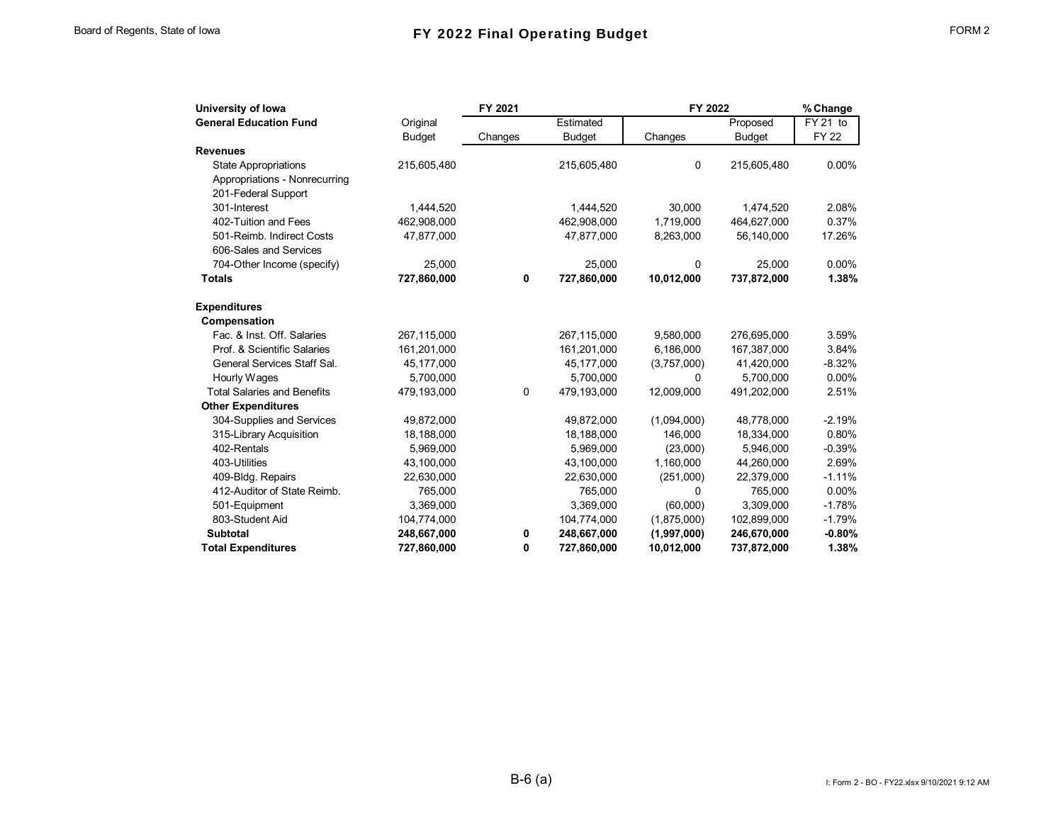| University of Iowa                 |               | FY 2021 |               | FY 2022     |               | % Change              |
|------------------------------------|---------------|---------|---------------|-------------|---------------|-----------------------|
| <b>General Education Fund</b>      | Original      |         | Estimated     |             | Proposed      | $\overline{FY}$ 21 to |
|                                    | <b>Budget</b> | Changes | <b>Budget</b> | Changes     | <b>Budget</b> | <b>FY 22</b>          |
| <b>Revenues</b>                    |               |         |               |             |               |                       |
| <b>State Appropriations</b>        | 215,605,480   |         | 215,605,480   | 0           | 215,605,480   | $0.00\%$              |
| Appropriations - Nonrecurring      |               |         |               |             |               |                       |
| 201-Federal Support                |               |         |               |             |               |                       |
| 301-Interest                       | 1,444,520     |         | 1,444,520     | 30,000      | 1,474,520     | 2.08%                 |
| 402-Tuition and Fees               | 462,908,000   |         | 462,908,000   | 1,719,000   | 464,627,000   | 0.37%                 |
| 501-Reimb. Indirect Costs          | 47,877,000    |         | 47,877,000    | 8,263,000   | 56,140,000    | 17.26%                |
| 606-Sales and Services             |               |         |               |             |               |                       |
| 704-Other Income (specify)         | 25,000        |         | 25,000        | 0           | 25,000        | 0.00%                 |
| <b>Totals</b>                      | 727,860,000   | 0       | 727,860,000   | 10,012,000  | 737,872,000   | 1.38%                 |
| <b>Expenditures</b>                |               |         |               |             |               |                       |
| Compensation                       |               |         |               |             |               |                       |
| Fac. & Inst. Off. Salaries         | 267,115,000   |         | 267,115,000   | 9,580,000   | 276,695,000   | 3.59%                 |
| Prof. & Scientific Salaries        | 161,201,000   |         | 161,201,000   | 6,186,000   | 167,387,000   | 3.84%                 |
| General Services Staff Sal.        | 45,177,000    |         | 45,177,000    | (3,757,000) | 41,420,000    | $-8.32%$              |
| Hourly Wages                       | 5,700,000     |         | 5,700,000     | 0           | 5,700,000     | 0.00%                 |
| <b>Total Salaries and Benefits</b> | 479,193,000   | 0       | 479,193,000   | 12,009,000  | 491,202,000   | 2.51%                 |
| <b>Other Expenditures</b>          |               |         |               |             |               |                       |
| 304-Supplies and Services          | 49,872,000    |         | 49,872,000    | (1,094,000) | 48,778,000    | $-2.19%$              |
| 315-Library Acquisition            | 18,188,000    |         | 18,188,000    | 146.000     | 18,334,000    | 0.80%                 |
| 402-Rentals                        | 5,969,000     |         | 5,969,000     | (23,000)    | 5.946.000     | $-0.39%$              |
| 403-Utilities                      | 43,100,000    |         | 43,100,000    | 1,160,000   | 44,260,000    | 2.69%                 |
| 409-Bldg. Repairs                  | 22,630,000    |         | 22,630,000    | (251,000)   | 22,379,000    | $-1.11%$              |
| 412-Auditor of State Reimb.        | 765,000       |         | 765,000       | 0           | 765,000       | $0.00\%$              |
| 501-Equipment                      | 3,369,000     |         | 3,369,000     | (60,000)    | 3,309,000     | $-1.78%$              |
| 803-Student Aid                    | 104,774,000   |         | 104,774,000   | (1,875,000) | 102,899,000   | $-1.79%$              |
| <b>Subtotal</b>                    | 248,667,000   | 0       | 248,667,000   | (1,997,000) | 246,670,000   | $-0.80%$              |
| <b>Total Expenditures</b>          | 727,860,000   | 0       | 727,860,000   | 10,012,000  | 737,872,000   | 1.38%                 |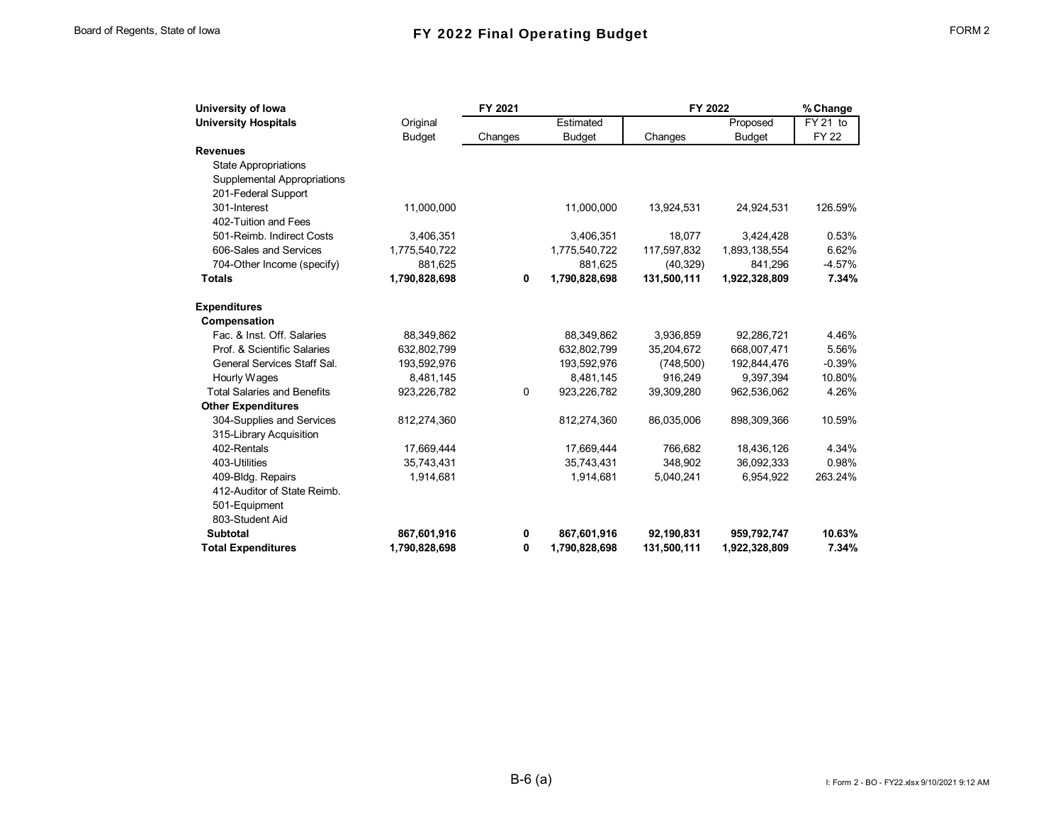| University of Iowa                 |               | FY 2021     |               |             | FY 2022       |             |
|------------------------------------|---------------|-------------|---------------|-------------|---------------|-------------|
| <b>University Hospitals</b>        | Original      |             | Estimated     |             | Proposed      | FY 21 to    |
|                                    | <b>Budget</b> | Changes     | <b>Budget</b> | Changes     | <b>Budget</b> | <b>FY22</b> |
| <b>Revenues</b>                    |               |             |               |             |               |             |
| <b>State Appropriations</b>        |               |             |               |             |               |             |
| <b>Supplemental Appropriations</b> |               |             |               |             |               |             |
| 201-Federal Support                |               |             |               |             |               |             |
| 301-Interest                       | 11,000,000    |             | 11,000,000    | 13,924,531  | 24,924,531    | 126.59%     |
| 402-Tuition and Fees               |               |             |               |             |               |             |
| 501-Reimb. Indirect Costs          | 3,406,351     |             | 3,406,351     | 18.077      | 3,424,428     | 0.53%       |
| 606-Sales and Services             | 1,775,540,722 |             | 1,775,540,722 | 117,597,832 | 1,893,138,554 | 6.62%       |
| 704-Other Income (specify)         | 881,625       |             | 881,625       | (40, 329)   | 841,296       | $-4.57%$    |
| <b>Totals</b>                      | 1,790,828,698 | $\mathbf 0$ | 1,790,828,698 | 131,500,111 | 1,922,328,809 | 7.34%       |
| <b>Expenditures</b>                |               |             |               |             |               |             |
| Compensation                       |               |             |               |             |               |             |
| Fac. & Inst. Off. Salaries         | 88,349,862    |             | 88,349,862    | 3,936,859   | 92,286,721    | 4.46%       |
| Prof. & Scientific Salaries        | 632,802,799   |             | 632,802,799   | 35,204,672  | 668,007,471   | 5.56%       |
| General Services Staff Sal.        | 193,592,976   |             | 193,592,976   | (748, 500)  | 192,844,476   | $-0.39%$    |
| Hourly Wages                       | 8,481,145     |             | 8,481,145     | 916,249     | 9,397,394     | 10.80%      |
| <b>Total Salaries and Benefits</b> | 923,226,782   | $\mathbf 0$ | 923,226,782   | 39,309,280  | 962.536.062   | 4.26%       |
| <b>Other Expenditures</b>          |               |             |               |             |               |             |
| 304-Supplies and Services          | 812,274,360   |             | 812,274,360   | 86,035,006  | 898,309,366   | 10.59%      |
| 315-Library Acquisition            |               |             |               |             |               |             |
| 402-Rentals                        | 17,669,444    |             | 17,669,444    | 766,682     | 18,436,126    | 4.34%       |
| 403-Utilities                      | 35,743,431    |             | 35,743,431    | 348,902     | 36,092,333    | 0.98%       |
| 409-Bldg. Repairs                  | 1,914,681     |             | 1,914,681     | 5,040,241   | 6,954,922     | 263.24%     |
| 412-Auditor of State Reimb.        |               |             |               |             |               |             |
| 501-Equipment                      |               |             |               |             |               |             |
| 803-Student Aid                    |               |             |               |             |               |             |
| <b>Subtotal</b>                    | 867,601,916   | 0           | 867,601,916   | 92,190,831  | 959,792,747   | 10.63%      |
| <b>Total Expenditures</b>          | 1,790,828,698 | 0           | 1,790,828,698 | 131,500,111 | 1,922,328,809 | 7.34%       |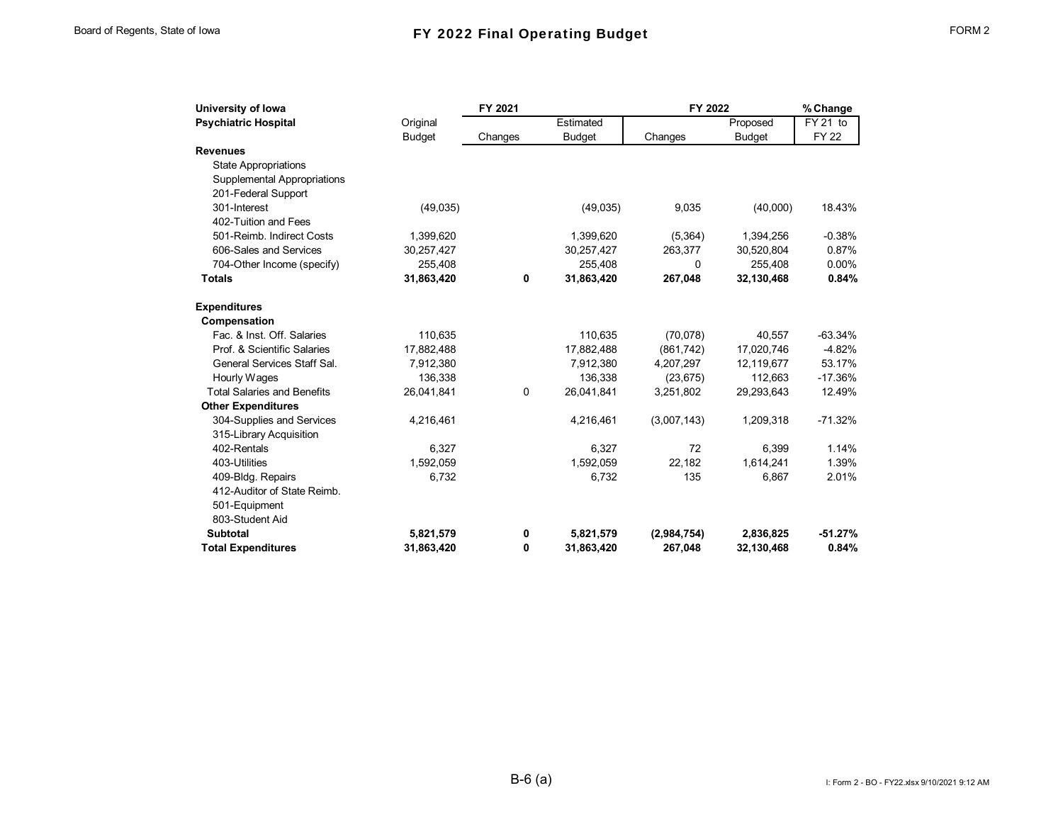| University of Iowa                 | FY 2021       |         |               | FY 2022     |               | % Change     |
|------------------------------------|---------------|---------|---------------|-------------|---------------|--------------|
| <b>Psychiatric Hospital</b>        | Original      |         | Estimated     |             | Proposed      | FY 21 to     |
|                                    | <b>Budget</b> | Changes | <b>Budget</b> | Changes     | <b>Budget</b> | <b>FY 22</b> |
| <b>Revenues</b>                    |               |         |               |             |               |              |
| <b>State Appropriations</b>        |               |         |               |             |               |              |
| Supplemental Appropriations        |               |         |               |             |               |              |
| 201-Federal Support                |               |         |               |             |               |              |
| 301-Interest                       | (49, 035)     |         | (49,035)      | 9,035       | (40,000)      | 18.43%       |
| 402-Tuition and Fees               |               |         |               |             |               |              |
| 501-Reimb. Indirect Costs          | 1,399,620     |         | 1,399,620     | (5,364)     | 1,394,256     | $-0.38%$     |
| 606-Sales and Services             | 30,257,427    |         | 30,257,427    | 263,377     | 30,520,804    | 0.87%        |
| 704-Other Income (specify)         | 255,408       |         | 255,408       | 0           | 255,408       | 0.00%        |
| <b>Totals</b>                      | 31,863,420    | 0       | 31,863,420    | 267,048     | 32,130,468    | 0.84%        |
| <b>Expenditures</b>                |               |         |               |             |               |              |
| Compensation                       |               |         |               |             |               |              |
| Fac. & Inst. Off. Salaries         | 110,635       |         | 110,635       | (70,078)    | 40,557        | $-63.34%$    |
| Prof. & Scientific Salaries        | 17,882,488    |         | 17,882,488    | (861, 742)  | 17,020,746    | $-4.82%$     |
| General Services Staff Sal.        | 7,912,380     |         | 7,912,380     | 4,207,297   | 12,119,677    | 53.17%       |
| Hourly Wages                       | 136,338       |         | 136,338       | (23, 675)   | 112,663       | $-17.36%$    |
| <b>Total Salaries and Benefits</b> | 26,041,841    | 0       | 26,041,841    | 3,251,802   | 29,293,643    | 12.49%       |
| <b>Other Expenditures</b>          |               |         |               |             |               |              |
| 304-Supplies and Services          | 4,216,461     |         | 4,216,461     | (3,007,143) | 1,209,318     | $-71.32%$    |
| 315-Library Acquisition            |               |         |               |             |               |              |
| 402-Rentals                        | 6.327         |         | 6.327         | 72          | 6.399         | 1.14%        |
| 403-Utilities                      | 1,592,059     |         | 1,592,059     | 22,182      | 1,614,241     | 1.39%        |
| 409-Bldg. Repairs                  | 6,732         |         | 6,732         | 135         | 6,867         | 2.01%        |
| 412-Auditor of State Reimb.        |               |         |               |             |               |              |
| 501-Equipment                      |               |         |               |             |               |              |
| 803-Student Aid                    |               |         |               |             |               |              |
| <b>Subtotal</b>                    | 5,821,579     | 0       | 5,821,579     | (2,984,754) | 2,836,825     | $-51.27%$    |
| <b>Total Expenditures</b>          | 31,863,420    | 0       | 31,863,420    | 267,048     | 32,130,468    | 0.84%        |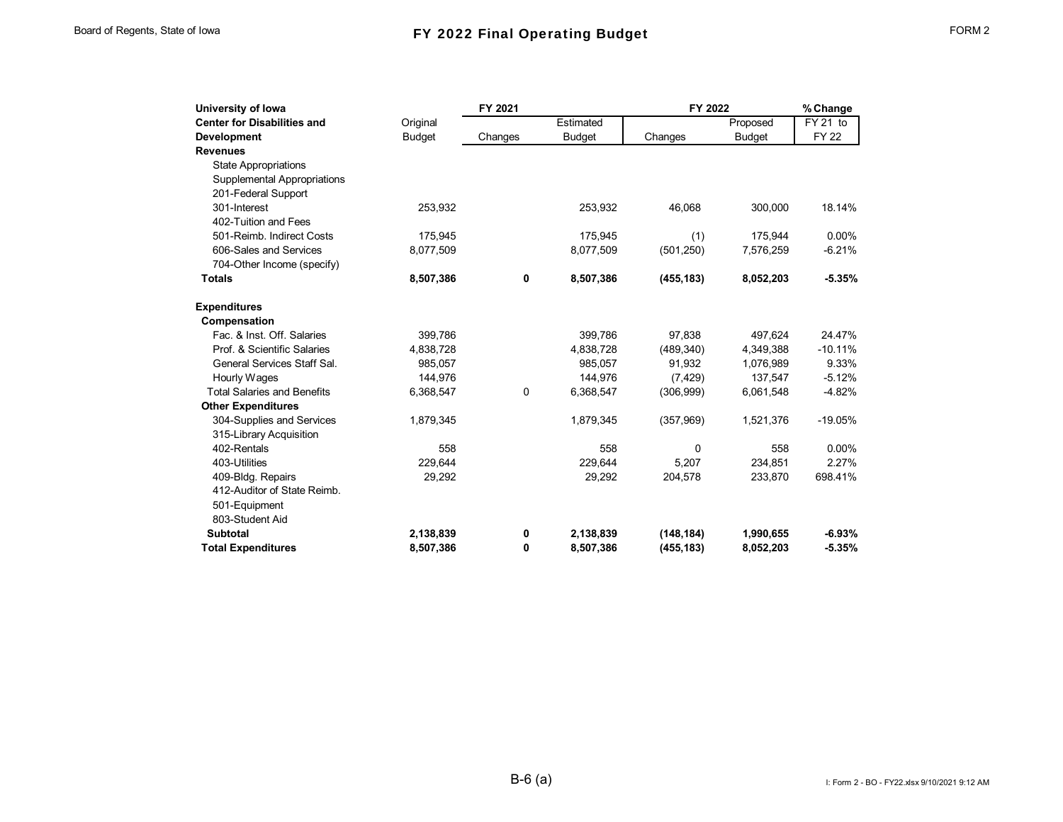| University of Iowa                 |               | FY 2021 |               | FY 2022    |               | % Change    |
|------------------------------------|---------------|---------|---------------|------------|---------------|-------------|
| <b>Center for Disabilities and</b> | Original      |         | Estimated     |            | Proposed      | $FY$ 21 to  |
| <b>Development</b>                 | <b>Budget</b> | Changes | <b>Budget</b> | Changes    | <b>Budget</b> | <b>FY22</b> |
| <b>Revenues</b>                    |               |         |               |            |               |             |
| <b>State Appropriations</b>        |               |         |               |            |               |             |
| <b>Supplemental Appropriations</b> |               |         |               |            |               |             |
| 201-Federal Support                |               |         |               |            |               |             |
| 301-Interest                       | 253,932       |         | 253,932       | 46,068     | 300,000       | 18.14%      |
| 402-Tuition and Fees               |               |         |               |            |               |             |
| 501-Reimb. Indirect Costs          | 175,945       |         | 175,945       | (1)        | 175,944       | 0.00%       |
| 606-Sales and Services             | 8,077,509     |         | 8,077,509     | (501, 250) | 7,576,259     | $-6.21%$    |
| 704-Other Income (specify)         |               |         |               |            |               |             |
| <b>Totals</b>                      | 8,507,386     | 0       | 8,507,386     | (455, 183) | 8,052,203     | $-5.35%$    |
| <b>Expenditures</b>                |               |         |               |            |               |             |
| Compensation                       |               |         |               |            |               |             |
| Fac. & Inst. Off. Salaries         | 399.786       |         | 399.786       | 97.838     | 497.624       | 24.47%      |
| Prof. & Scientific Salaries        | 4,838,728     |         | 4,838,728     | (489, 340) | 4,349,388     | $-10.11%$   |
| General Services Staff Sal.        | 985.057       |         | 985.057       | 91.932     | 1,076,989     | 9.33%       |
| Hourly Wages                       | 144,976       |         | 144,976       | (7, 429)   | 137,547       | $-5.12%$    |
| <b>Total Salaries and Benefits</b> | 6,368,547     | 0       | 6,368,547     | (306, 999) | 6,061,548     | $-4.82%$    |
| <b>Other Expenditures</b>          |               |         |               |            |               |             |
| 304-Supplies and Services          | 1,879,345     |         | 1,879,345     | (357,969)  | 1,521,376     | $-19.05%$   |
| 315-Library Acquisition            |               |         |               |            |               |             |
| 402-Rentals                        | 558           |         | 558           | $\Omega$   | 558           | $0.00\%$    |
| 403-Utilities                      | 229,644       |         | 229,644       | 5,207      | 234,851       | 2.27%       |
| 409-Bldg. Repairs                  | 29,292        |         | 29,292        | 204,578    | 233,870       | 698.41%     |
| 412-Auditor of State Reimb.        |               |         |               |            |               |             |
| 501-Equipment                      |               |         |               |            |               |             |
| 803-Student Aid                    |               |         |               |            |               |             |
| <b>Subtotal</b>                    | 2,138,839     | 0       | 2,138,839     | (148, 184) | 1,990,655     | $-6.93%$    |
| <b>Total Expenditures</b>          | 8,507,386     | 0       | 8,507,386     | (455, 183) | 8,052,203     | $-5.35%$    |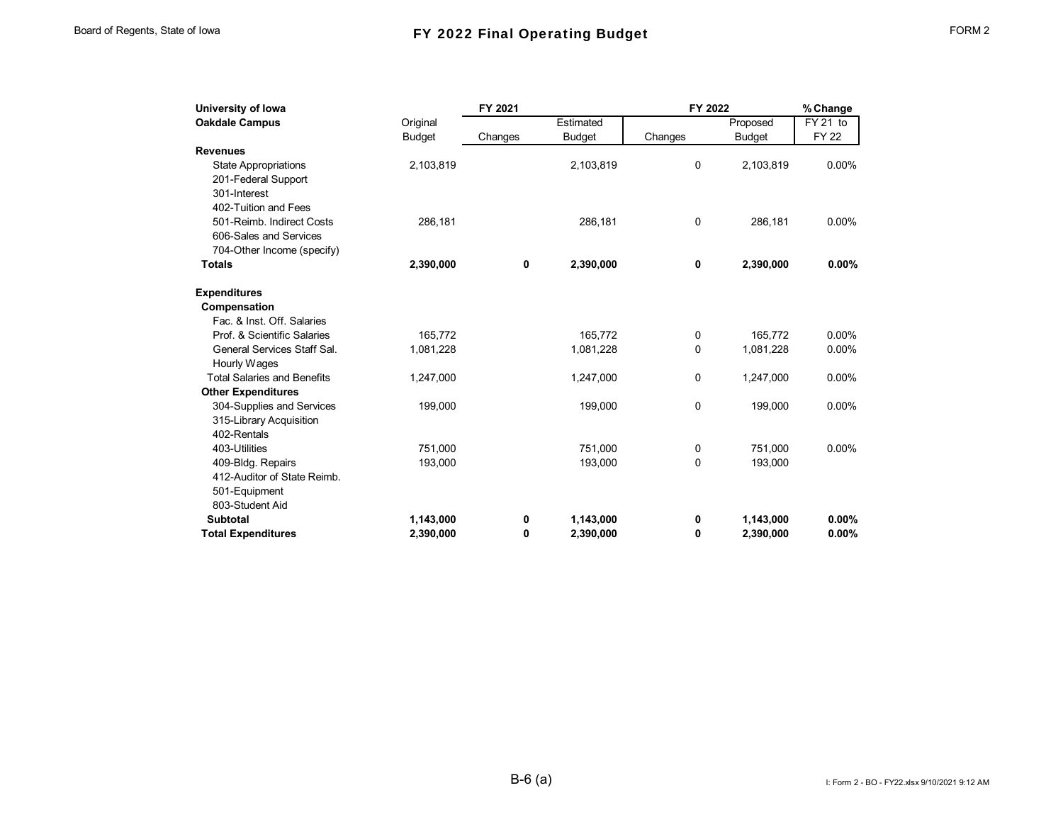| University of Iowa                 |               | FY 2021 |               | FY 2022 |               | % Change    |
|------------------------------------|---------------|---------|---------------|---------|---------------|-------------|
| <b>Oakdale Campus</b>              | Original      |         | Estimated     |         | Proposed      | FY 21 to    |
|                                    | <b>Budget</b> | Changes | <b>Budget</b> | Changes | <b>Budget</b> | <b>FY22</b> |
| <b>Revenues</b>                    |               |         |               |         |               |             |
| <b>State Appropriations</b>        | 2,103,819     |         | 2,103,819     | 0       | 2,103,819     | $0.00\%$    |
| 201-Federal Support                |               |         |               |         |               |             |
| 301-Interest                       |               |         |               |         |               |             |
| 402-Tuition and Fees               |               |         |               |         |               |             |
| 501-Reimb. Indirect Costs          | 286,181       |         | 286,181       | 0       | 286,181       | 0.00%       |
| 606-Sales and Services             |               |         |               |         |               |             |
| 704-Other Income (specify)         |               |         |               |         |               |             |
| <b>Totals</b>                      | 2,390,000     | 0       | 2,390,000     | 0       | 2,390,000     | $0.00\%$    |
| <b>Expenditures</b>                |               |         |               |         |               |             |
| Compensation                       |               |         |               |         |               |             |
| Fac. & Inst. Off. Salaries         |               |         |               |         |               |             |
| Prof. & Scientific Salaries        | 165,772       |         | 165,772       | 0       | 165,772       | $0.00\%$    |
| General Services Staff Sal.        | 1,081,228     |         | 1,081,228     | 0       | 1,081,228     | $0.00\%$    |
| Hourly Wages                       |               |         |               |         |               |             |
| <b>Total Salaries and Benefits</b> | 1,247,000     |         | 1,247,000     | 0       | 1,247,000     | $0.00\%$    |
| <b>Other Expenditures</b>          |               |         |               |         |               |             |
| 304-Supplies and Services          | 199,000       |         | 199,000       | 0       | 199,000       | 0.00%       |
| 315-Library Acquisition            |               |         |               |         |               |             |
| 402-Rentals                        |               |         |               |         |               |             |
| 403-Utilities                      | 751,000       |         | 751,000       | 0       | 751,000       | $0.00\%$    |
| 409-Bldg. Repairs                  | 193,000       |         | 193,000       | 0       | 193,000       |             |
| 412-Auditor of State Reimb.        |               |         |               |         |               |             |
| 501-Equipment                      |               |         |               |         |               |             |
| 803-Student Aid                    |               |         |               |         |               |             |
| <b>Subtotal</b>                    | 1,143,000     | 0       | 1,143,000     | 0       | 1,143,000     | $0.00\%$    |
| <b>Total Expenditures</b>          | 2,390,000     | 0       | 2,390,000     | 0       | 2,390,000     | $0.00\%$    |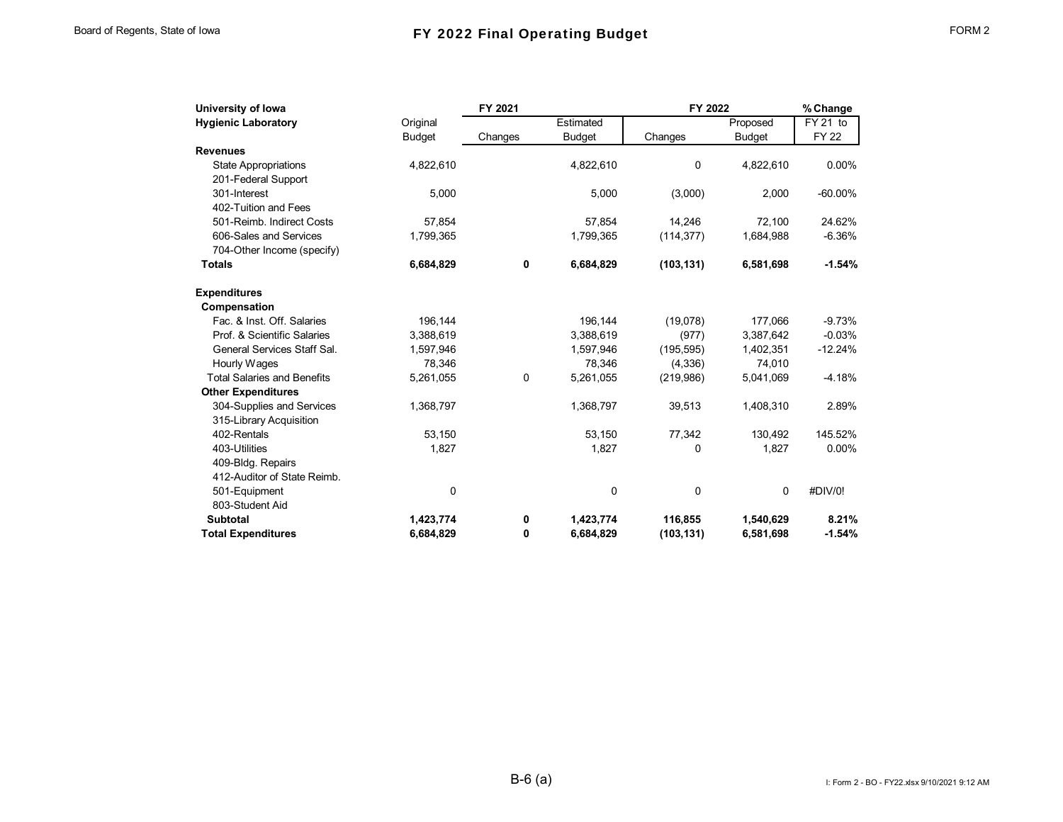| University of Iowa                 | FY 2021       |         |               | FY 2022    |               | % Change              |
|------------------------------------|---------------|---------|---------------|------------|---------------|-----------------------|
| <b>Hygienic Laboratory</b>         | Original      |         | Estimated     |            | Proposed      | $\overline{FY}$ 21 to |
|                                    | <b>Budget</b> | Changes | <b>Budget</b> | Changes    | <b>Budget</b> | <b>FY 22</b>          |
| <b>Revenues</b>                    |               |         |               |            |               |                       |
| <b>State Appropriations</b>        | 4,822,610     |         | 4,822,610     | 0          | 4,822,610     | 0.00%                 |
| 201-Federal Support                |               |         |               |            |               |                       |
| 301-Interest                       | 5,000         |         | 5,000         | (3,000)    | 2,000         | $-60.00\%$            |
| 402-Tuition and Fees               |               |         |               |            |               |                       |
| 501-Reimb. Indirect Costs          | 57.854        |         | 57,854        | 14.246     | 72,100        | 24.62%                |
| 606-Sales and Services             | 1,799,365     |         | 1,799,365     | (114, 377) | 1,684,988     | $-6.36%$              |
| 704-Other Income (specify)         |               |         |               |            |               |                       |
| <b>Totals</b>                      | 6,684,829     | 0       | 6,684,829     | (103, 131) | 6,581,698     | $-1.54%$              |
| <b>Expenditures</b>                |               |         |               |            |               |                       |
| Compensation                       |               |         |               |            |               |                       |
| Fac. & Inst. Off. Salaries         | 196,144       |         | 196,144       | (19,078)   | 177,066       | $-9.73%$              |
| Prof. & Scientific Salaries        | 3,388,619     |         | 3,388,619     | (977)      | 3,387,642     | $-0.03%$              |
| General Services Staff Sal.        | 1,597,946     |         | 1,597,946     | (195, 595) | 1,402,351     | $-12.24%$             |
| Hourly Wages                       | 78,346        |         | 78,346        | (4,336)    | 74,010        |                       |
| <b>Total Salaries and Benefits</b> | 5,261,055     | 0       | 5,261,055     | (219,986)  | 5,041,069     | $-4.18%$              |
| <b>Other Expenditures</b>          |               |         |               |            |               |                       |
| 304-Supplies and Services          | 1,368,797     |         | 1,368,797     | 39,513     | 1,408,310     | 2.89%                 |
| 315-Library Acquisition            |               |         |               |            |               |                       |
| 402-Rentals                        | 53,150        |         | 53,150        | 77,342     | 130,492       | 145.52%               |
| 403-Utilities                      | 1,827         |         | 1,827         | 0          | 1,827         | 0.00%                 |
| 409-Bldg. Repairs                  |               |         |               |            |               |                       |
| 412-Auditor of State Reimb.        |               |         |               |            |               |                       |
| 501-Equipment                      | 0             |         | 0             | 0          | 0             | #DIV/0!               |
| 803-Student Aid                    |               |         |               |            |               |                       |
| <b>Subtotal</b>                    | 1,423,774     | 0       | 1,423,774     | 116,855    | 1,540,629     | 8.21%                 |
| <b>Total Expenditures</b>          | 6,684,829     | 0       | 6.684.829     | (103, 131) | 6,581,698     | $-1.54%$              |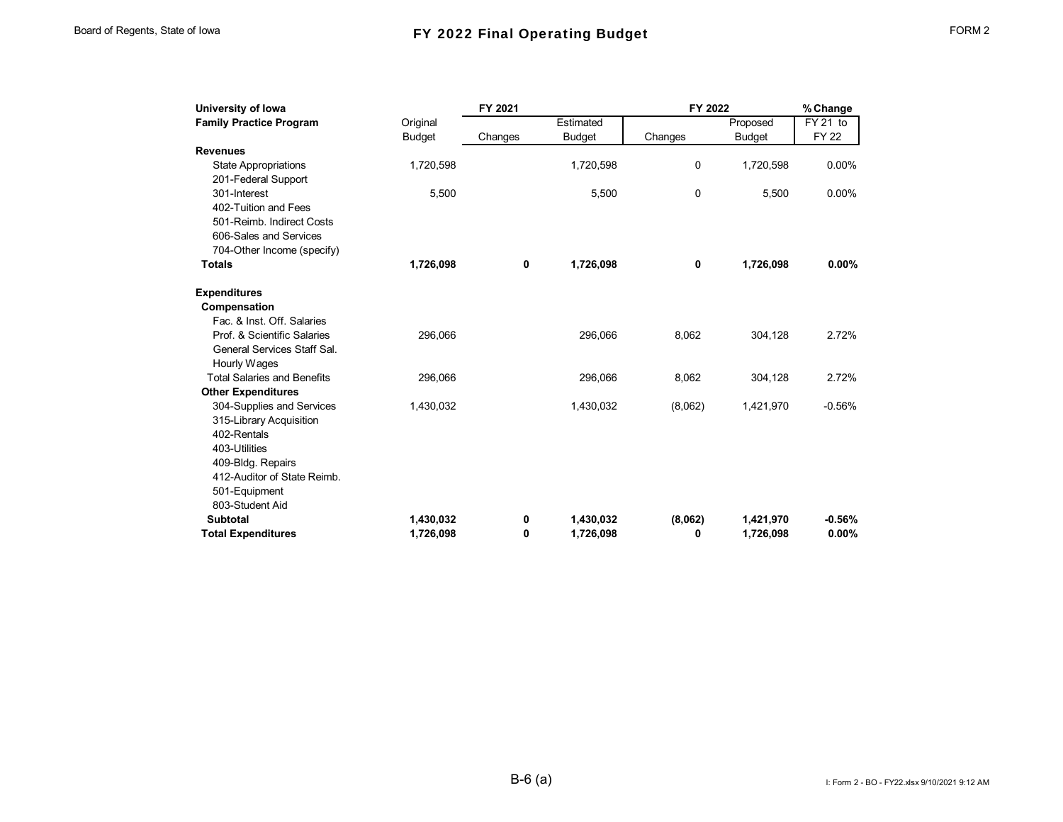| FORM |  |
|------|--|
|------|--|

| University of Iowa                 |               | FY 2021 |               | FY 2022     |               | % Change     |
|------------------------------------|---------------|---------|---------------|-------------|---------------|--------------|
| <b>Family Practice Program</b>     | Original      |         | Estimated     |             | Proposed      | FY 21 to     |
|                                    | <b>Budget</b> | Changes | <b>Budget</b> | Changes     | <b>Budget</b> | <b>FY 22</b> |
| <b>Revenues</b>                    |               |         |               |             |               |              |
| <b>State Appropriations</b>        | 1,720,598     |         | 1,720,598     | 0           | 1,720,598     | 0.00%        |
| 201-Federal Support                |               |         |               |             |               |              |
| 301-Interest                       | 5,500         |         | 5,500         | $\mathbf 0$ | 5,500         | 0.00%        |
| 402-Tuition and Fees               |               |         |               |             |               |              |
| 501-Reimb. Indirect Costs          |               |         |               |             |               |              |
| 606-Sales and Services             |               |         |               |             |               |              |
| 704-Other Income (specify)         |               |         |               |             |               |              |
| <b>Totals</b>                      | 1,726,098     | 0       | 1,726,098     | 0           | 1,726,098     | $0.00\%$     |
| <b>Expenditures</b>                |               |         |               |             |               |              |
| Compensation                       |               |         |               |             |               |              |
| Fac. & Inst. Off. Salaries         |               |         |               |             |               |              |
| Prof. & Scientific Salaries        | 296,066       |         | 296,066       | 8,062       | 304,128       | 2.72%        |
| General Services Staff Sal.        |               |         |               |             |               |              |
| Hourly Wages                       |               |         |               |             |               |              |
| <b>Total Salaries and Benefits</b> | 296,066       |         | 296,066       | 8,062       | 304,128       | 2.72%        |
| <b>Other Expenditures</b>          |               |         |               |             |               |              |
| 304-Supplies and Services          | 1,430,032     |         | 1,430,032     | (8,062)     | 1,421,970     | $-0.56%$     |
| 315-Library Acquisition            |               |         |               |             |               |              |
| 402-Rentals                        |               |         |               |             |               |              |
| 403-Utilities                      |               |         |               |             |               |              |
| 409-Bldg. Repairs                  |               |         |               |             |               |              |
| 412-Auditor of State Reimb.        |               |         |               |             |               |              |
| 501-Equipment                      |               |         |               |             |               |              |
| 803-Student Aid                    |               |         |               |             |               |              |
| <b>Subtotal</b>                    | 1,430,032     | 0       | 1,430,032     | (8,062)     | 1,421,970     | $-0.56%$     |
| <b>Total Expenditures</b>          | 1.726.098     | 0       | 1.726.098     | 0           | 1,726,098     | 0.00%        |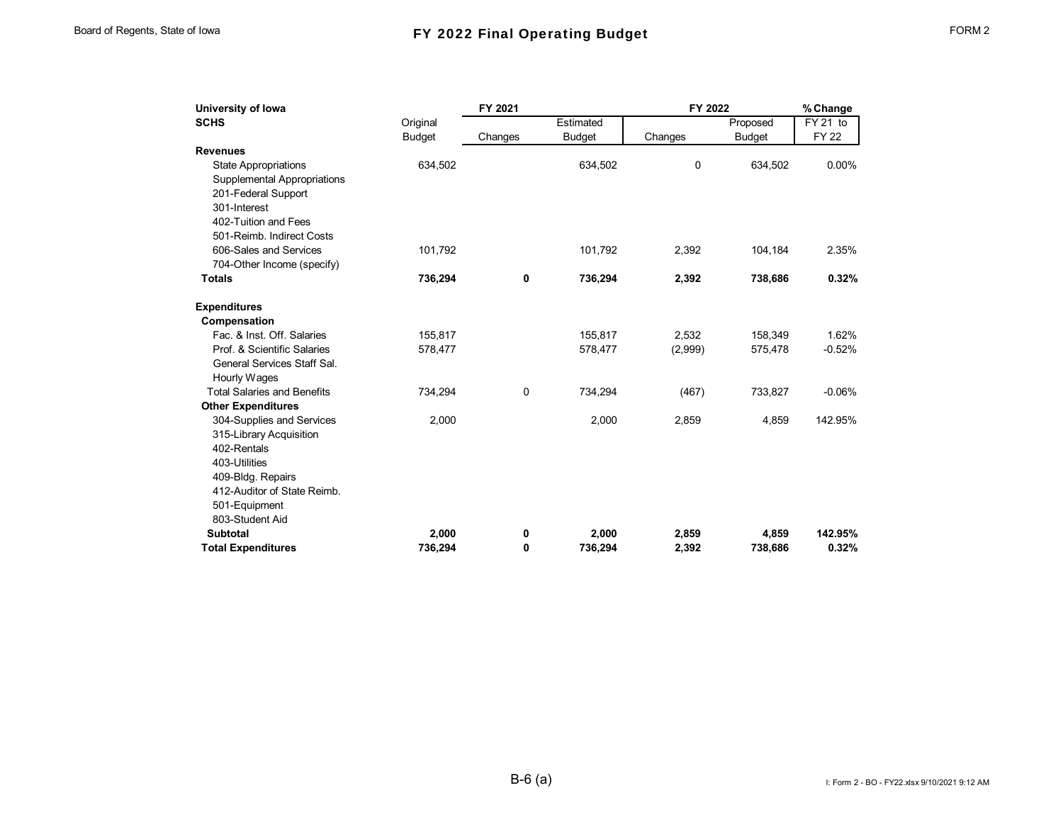| University of Iowa                                                                                |               | FY 2021     |               | FY 2022 |               | % Change    |
|---------------------------------------------------------------------------------------------------|---------------|-------------|---------------|---------|---------------|-------------|
| <b>SCHS</b>                                                                                       | Original      |             | Estimated     |         | Proposed      | FY 21 to    |
|                                                                                                   | <b>Budget</b> | Changes     | <b>Budget</b> | Changes | <b>Budget</b> | <b>FY22</b> |
| <b>Revenues</b>                                                                                   |               |             |               |         |               |             |
| <b>State Appropriations</b><br>Supplemental Appropriations<br>201-Federal Support<br>301-Interest | 634,502       |             | 634,502       | 0       | 634,502       | $0.00\%$    |
| 402-Tuition and Fees<br>501-Reimb. Indirect Costs                                                 |               |             |               |         |               |             |
| 606-Sales and Services<br>704-Other Income (specify)                                              | 101,792       |             | 101,792       | 2,392   | 104,184       | 2.35%       |
| <b>Totals</b>                                                                                     | 736,294       | $\mathbf 0$ | 736,294       | 2,392   | 738,686       | 0.32%       |
| <b>Expenditures</b>                                                                               |               |             |               |         |               |             |
| Compensation                                                                                      |               |             |               |         |               |             |
| Fac. & Inst. Off. Salaries                                                                        | 155,817       |             | 155,817       | 2,532   | 158,349       | 1.62%       |
| Prof. & Scientific Salaries                                                                       | 578,477       |             | 578,477       | (2,999) | 575,478       | $-0.52%$    |
| General Services Staff Sal.<br>Hourly Wages                                                       |               |             |               |         |               |             |
| <b>Total Salaries and Benefits</b>                                                                | 734,294       | $\mathbf 0$ | 734,294       | (467)   | 733,827       | $-0.06%$    |
| <b>Other Expenditures</b>                                                                         |               |             |               |         |               |             |
| 304-Supplies and Services<br>315-Library Acquisition                                              | 2,000         |             | 2,000         | 2,859   | 4,859         | 142.95%     |
| 402-Rentals                                                                                       |               |             |               |         |               |             |
| 403-Utilities                                                                                     |               |             |               |         |               |             |
| 409-Bldg. Repairs                                                                                 |               |             |               |         |               |             |
| 412-Auditor of State Reimb.                                                                       |               |             |               |         |               |             |
| 501-Equipment                                                                                     |               |             |               |         |               |             |
| 803-Student Aid                                                                                   |               |             |               |         |               |             |
| <b>Subtotal</b>                                                                                   | 2,000         | 0           | 2,000         | 2,859   | 4,859         | 142.95%     |
| <b>Total Expenditures</b>                                                                         | 736.294       | 0           | 736.294       | 2,392   | 738,686       | 0.32%       |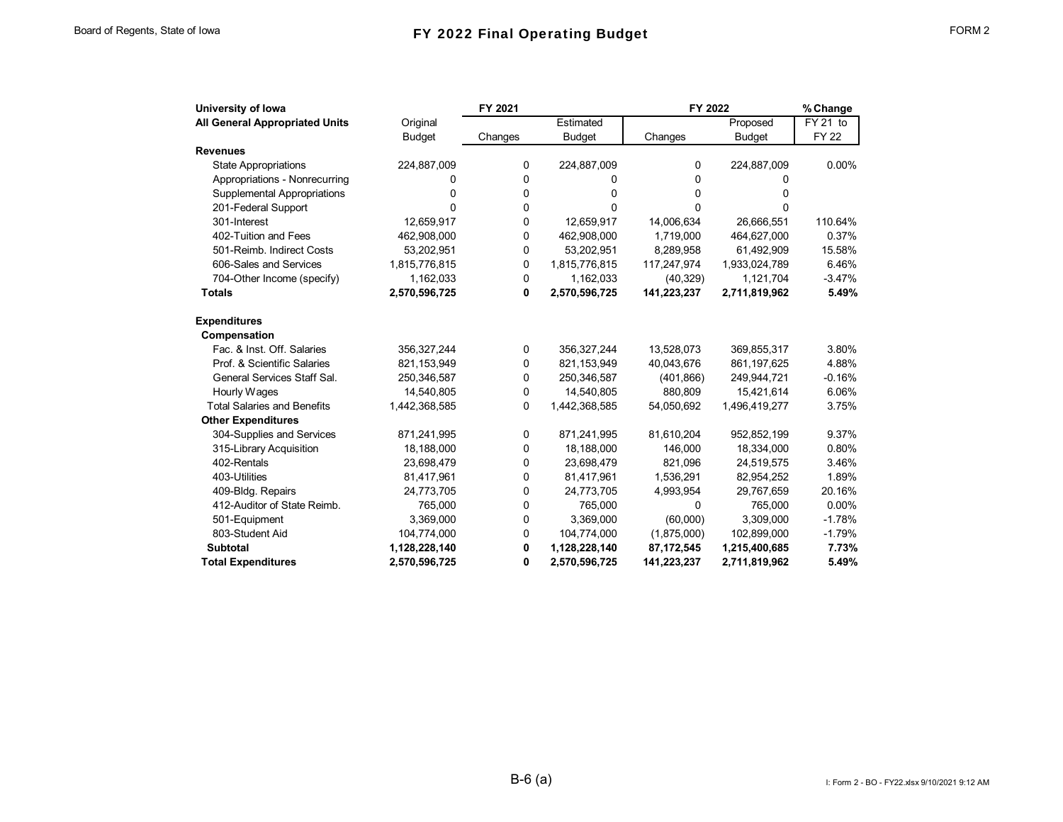## Board of Regents, State of Iowa **FY 2022 Final Operating Budget** FORM 2

| University of Iowa                    |               | FY 2021 |               | FY 2022     |               | % Change     |
|---------------------------------------|---------------|---------|---------------|-------------|---------------|--------------|
| <b>All General Appropriated Units</b> | Original      |         | Estimated     |             | Proposed      | FY 21 to     |
|                                       | <b>Budget</b> | Changes | <b>Budget</b> | Changes     | <b>Budget</b> | <b>FY 22</b> |
| <b>Revenues</b>                       |               |         |               |             |               |              |
| <b>State Appropriations</b>           | 224,887,009   | 0       | 224,887,009   | 0           | 224,887,009   | 0.00%        |
| Appropriations - Nonrecurring         | 0             | 0       | 0             | 0           | 0             |              |
| Supplemental Appropriations           | 0             | 0       | 0             | 0           | 0             |              |
| 201-Federal Support                   | U             | 0       | 0             | 0           | 0             |              |
| 301-Interest                          | 12,659,917    | 0       | 12,659,917    | 14,006,634  | 26,666,551    | 110.64%      |
| 402-Tuition and Fees                  | 462,908,000   | 0       | 462,908,000   | 1,719,000   | 464,627,000   | 0.37%        |
| 501-Reimb. Indirect Costs             | 53,202,951    | 0       | 53,202,951    | 8,289,958   | 61,492,909    | 15.58%       |
| 606-Sales and Services                | 1,815,776,815 | 0       | 1,815,776,815 | 117,247,974 | 1,933,024,789 | 6.46%        |
| 704-Other Income (specify)            | 1,162,033     | 0       | 1,162,033     | (40, 329)   | 1,121,704     | $-3.47%$     |
| <b>Totals</b>                         | 2,570,596,725 | 0       | 2,570,596,725 | 141,223,237 | 2,711,819,962 | 5.49%        |
| <b>Expenditures</b>                   |               |         |               |             |               |              |
| Compensation                          |               |         |               |             |               |              |
| Fac. & Inst. Off. Salaries            | 356,327,244   | 0       | 356,327,244   | 13,528,073  | 369,855,317   | 3.80%        |
| Prof. & Scientific Salaries           | 821,153,949   | 0       | 821,153,949   | 40,043,676  | 861, 197, 625 | 4.88%        |
| General Services Staff Sal.           | 250,346,587   | 0       | 250,346,587   | (401, 866)  | 249,944,721   | $-0.16%$     |
| Hourly Wages                          | 14,540,805    | 0       | 14,540,805    | 880,809     | 15,421,614    | 6.06%        |
| <b>Total Salaries and Benefits</b>    | 1,442,368,585 | 0       | 1,442,368,585 | 54,050,692  | 1,496,419,277 | 3.75%        |
| <b>Other Expenditures</b>             |               |         |               |             |               |              |
| 304-Supplies and Services             | 871,241,995   | 0       | 871,241,995   | 81,610,204  | 952,852,199   | 9.37%        |
| 315-Library Acquisition               | 18,188,000    | 0       | 18,188,000    | 146,000     | 18,334,000    | 0.80%        |
| 402-Rentals                           | 23,698,479    | 0       | 23,698,479    | 821,096     | 24,519,575    | 3.46%        |
| 403-Utilities                         | 81,417,961    | 0       | 81,417,961    | 1,536,291   | 82,954,252    | 1.89%        |
| 409-Bldg. Repairs                     | 24,773,705    | 0       | 24,773,705    | 4,993,954   | 29,767,659    | 20.16%       |
| 412-Auditor of State Reimb.           | 765,000       | 0       | 765,000       | 0           | 765,000       | 0.00%        |
| 501-Equipment                         | 3,369,000     | 0       | 3,369,000     | (60,000)    | 3,309,000     | $-1.78%$     |
| 803-Student Aid                       | 104,774,000   | 0       | 104,774,000   | (1,875,000) | 102,899,000   | $-1.79%$     |
| <b>Subtotal</b>                       | 1,128,228,140 | 0       | 1,128,228,140 | 87,172,545  | 1,215,400,685 | 7.73%        |
| <b>Total Expenditures</b>             | 2,570,596,725 | 0       | 2,570,596,725 | 141,223,237 | 2,711,819,962 | 5.49%        |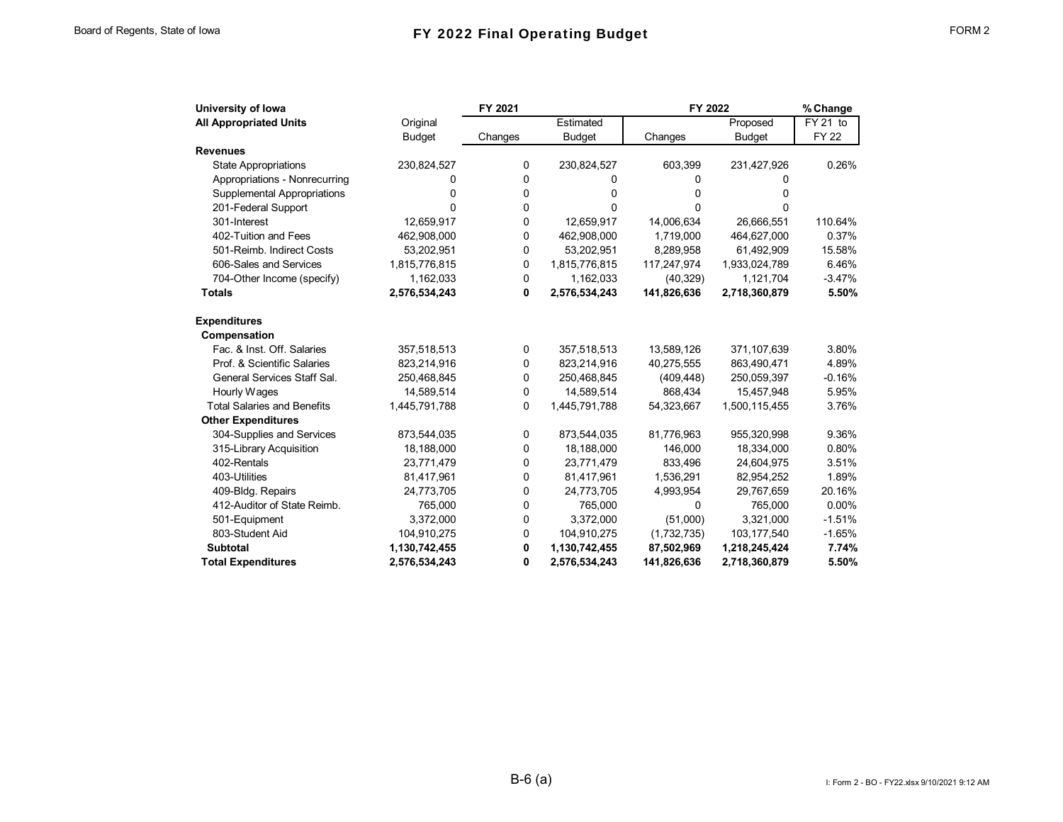| University of Iowa                 |               | FY 2021  |               | FY 2022     |               | % Change    |  |
|------------------------------------|---------------|----------|---------------|-------------|---------------|-------------|--|
| <b>All Appropriated Units</b>      | Original      |          | Estimated     |             | Proposed      | FY 21 to    |  |
|                                    | <b>Budget</b> | Changes  | <b>Budget</b> | Changes     | <b>Budget</b> | <b>FY22</b> |  |
| <b>Revenues</b>                    |               |          |               |             |               |             |  |
| <b>State Appropriations</b>        | 230,824,527   | 0        | 230,824,527   | 603,399     | 231,427,926   | 0.26%       |  |
| Appropriations - Nonrecurring      | 0             | 0        | 0             | 0           | O             |             |  |
| Supplemental Appropriations        | 0             | 0        | 0             | 0           | o             |             |  |
| 201-Federal Support                | U             | 0        | 0             | 0           | ŋ             |             |  |
| 301-Interest                       | 12,659,917    | 0        | 12,659,917    | 14,006,634  | 26,666,551    | 110.64%     |  |
| 402-Tuition and Fees               | 462,908,000   | 0        | 462,908,000   | 1,719,000   | 464,627,000   | 0.37%       |  |
| 501-Reimb. Indirect Costs          | 53,202,951    | 0        | 53,202,951    | 8,289,958   | 61,492,909    | 15.58%      |  |
| 606-Sales and Services             | 1,815,776,815 | 0        | 1,815,776,815 | 117,247,974 | 1,933,024,789 | 6.46%       |  |
| 704-Other Income (specify)         | 1,162,033     | 0        | 1,162,033     | (40, 329)   | 1,121,704     | $-3.47%$    |  |
| <b>Totals</b>                      | 2,576,534,243 | 0        | 2,576,534,243 | 141,826,636 | 2,718,360,879 | 5.50%       |  |
| <b>Expenditures</b>                |               |          |               |             |               |             |  |
| Compensation                       |               |          |               |             |               |             |  |
| Fac. & Inst. Off. Salaries         | 357,518,513   | 0        | 357,518,513   | 13,589,126  | 371,107,639   | 3.80%       |  |
| Prof. & Scientific Salaries        | 823,214,916   | 0        | 823,214,916   | 40,275,555  | 863,490,471   | 4.89%       |  |
| General Services Staff Sal.        | 250,468,845   | 0        | 250,468,845   | (409, 448)  | 250,059,397   | $-0.16%$    |  |
| Hourly Wages                       | 14,589,514    | 0        | 14,589,514    | 868,434     | 15,457,948    | 5.95%       |  |
| <b>Total Salaries and Benefits</b> | 1,445,791,788 | $\Omega$ | 1,445,791,788 | 54,323,667  | 1,500,115,455 | 3.76%       |  |
| <b>Other Expenditures</b>          |               |          |               |             |               |             |  |
| 304-Supplies and Services          | 873,544,035   | 0        | 873,544,035   | 81,776,963  | 955,320,998   | 9.36%       |  |
| 315-Library Acquisition            | 18,188,000    | 0        | 18,188,000    | 146,000     | 18,334,000    | 0.80%       |  |
| 402-Rentals                        | 23,771,479    | 0        | 23,771,479    | 833,496     | 24,604,975    | 3.51%       |  |
| 403-Utilities                      | 81,417,961    | 0        | 81,417,961    | 1,536,291   | 82,954,252    | 1.89%       |  |
| 409-Bldg. Repairs                  | 24,773,705    | 0        | 24,773,705    | 4,993,954   | 29,767,659    | 20.16%      |  |
| 412-Auditor of State Reimb.        | 765,000       | 0        | 765,000       | 0           | 765,000       | $0.00\%$    |  |
| 501-Equipment                      | 3,372,000     | 0        | 3,372,000     | (51,000)    | 3,321,000     | $-1.51%$    |  |
| 803-Student Aid                    | 104,910,275   | 0        | 104,910,275   | (1,732,735) | 103,177,540   | $-1.65%$    |  |
| <b>Subtotal</b>                    | 1,130,742,455 | 0        | 1,130,742,455 | 87,502,969  | 1,218,245,424 | 7.74%       |  |
| <b>Total Expenditures</b>          | 2,576,534,243 | 0        | 2,576,534,243 | 141,826,636 | 2,718,360,879 | 5.50%       |  |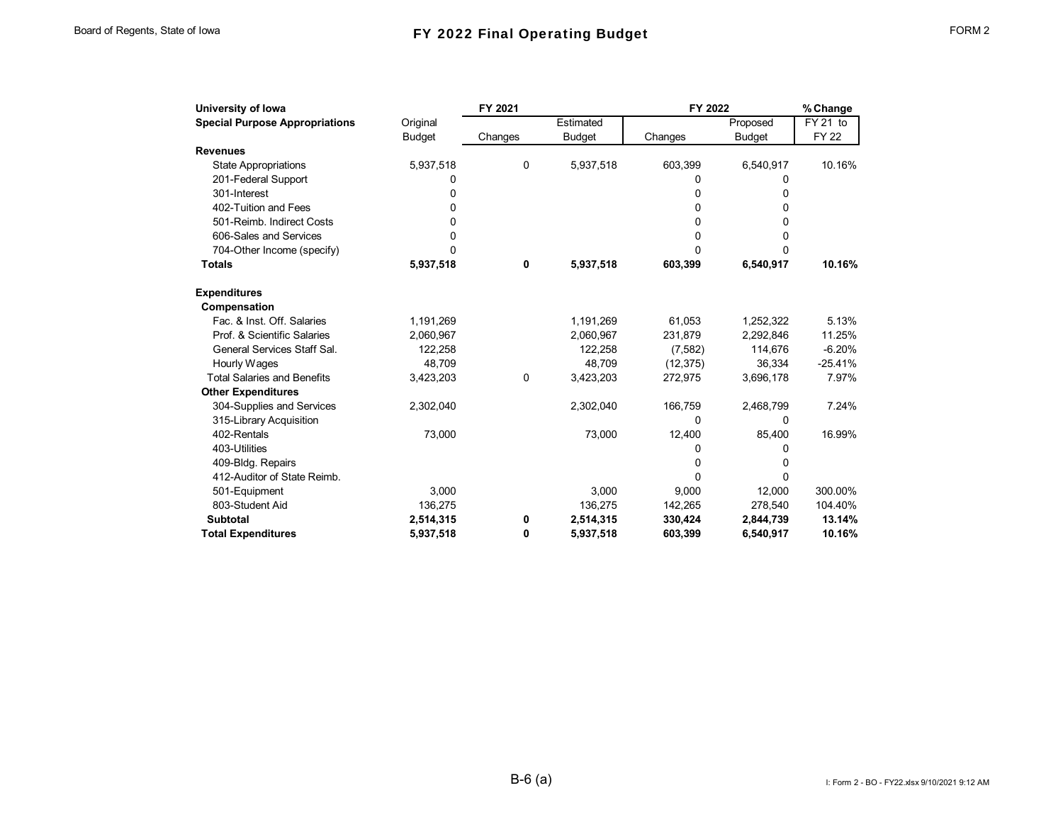| University of Iowa                    |               | FY 2021 |               | FY 2022   |               | % Change    |
|---------------------------------------|---------------|---------|---------------|-----------|---------------|-------------|
| <b>Special Purpose Appropriations</b> | Original      |         | Estimated     |           | Proposed      | FY 21 to    |
|                                       | <b>Budget</b> | Changes | <b>Budget</b> | Changes   | <b>Budget</b> | <b>FY22</b> |
| <b>Revenues</b>                       |               |         |               |           |               |             |
| <b>State Appropriations</b>           | 5,937,518     | 0       | 5,937,518     | 603,399   | 6,540,917     | 10.16%      |
| 201-Federal Support                   | 0             |         |               | 0         | 0             |             |
| 301-Interest                          | 0             |         |               | 0         | 0             |             |
| 402-Tuition and Fees                  | 0             |         |               | 0         | 0             |             |
| 501-Reimb. Indirect Costs             | 0             |         |               | 0         | 0             |             |
| 606-Sales and Services                | U             |         |               | 0         | 0             |             |
| 704-Other Income (specify)            | 0             |         |               | $\Omega$  | 0             |             |
| <b>Totals</b>                         | 5,937,518     | 0       | 5,937,518     | 603,399   | 6,540,917     | 10.16%      |
| <b>Expenditures</b>                   |               |         |               |           |               |             |
| Compensation                          |               |         |               |           |               |             |
| Fac. & Inst. Off. Salaries            | 1,191,269     |         | 1,191,269     | 61,053    | 1,252,322     | 5.13%       |
| Prof. & Scientific Salaries           | 2,060,967     |         | 2,060,967     | 231,879   | 2,292,846     | 11.25%      |
| General Services Staff Sal.           | 122,258       |         | 122,258       | (7, 582)  | 114.676       | $-6.20%$    |
| Hourly Wages                          | 48.709        |         | 48.709        | (12, 375) | 36.334        | $-25.41%$   |
| <b>Total Salaries and Benefits</b>    | 3,423,203     | 0       | 3,423,203     | 272,975   | 3,696,178     | 7.97%       |
| <b>Other Expenditures</b>             |               |         |               |           |               |             |
| 304-Supplies and Services             | 2,302,040     |         | 2,302,040     | 166,759   | 2,468,799     | 7.24%       |
| 315-Library Acquisition               |               |         |               | 0         | 0             |             |
| 402-Rentals                           | 73,000        |         | 73,000        | 12,400    | 85,400        | 16.99%      |
| 403-Utilities                         |               |         |               | 0         | 0             |             |
| 409-Bldg. Repairs                     |               |         |               | $\Omega$  | 0             |             |
| 412-Auditor of State Reimb.           |               |         |               | $\Omega$  | $\Omega$      |             |
| 501-Equipment                         | 3,000         |         | 3,000         | 9,000     | 12,000        | 300.00%     |
| 803-Student Aid                       | 136,275       |         | 136,275       | 142,265   | 278,540       | 104.40%     |
| <b>Subtotal</b>                       | 2,514,315     | 0       | 2,514,315     | 330,424   | 2,844,739     | 13.14%      |
| <b>Total Expenditures</b>             | 5,937,518     | 0       | 5,937,518     | 603,399   | 6,540,917     | 10.16%      |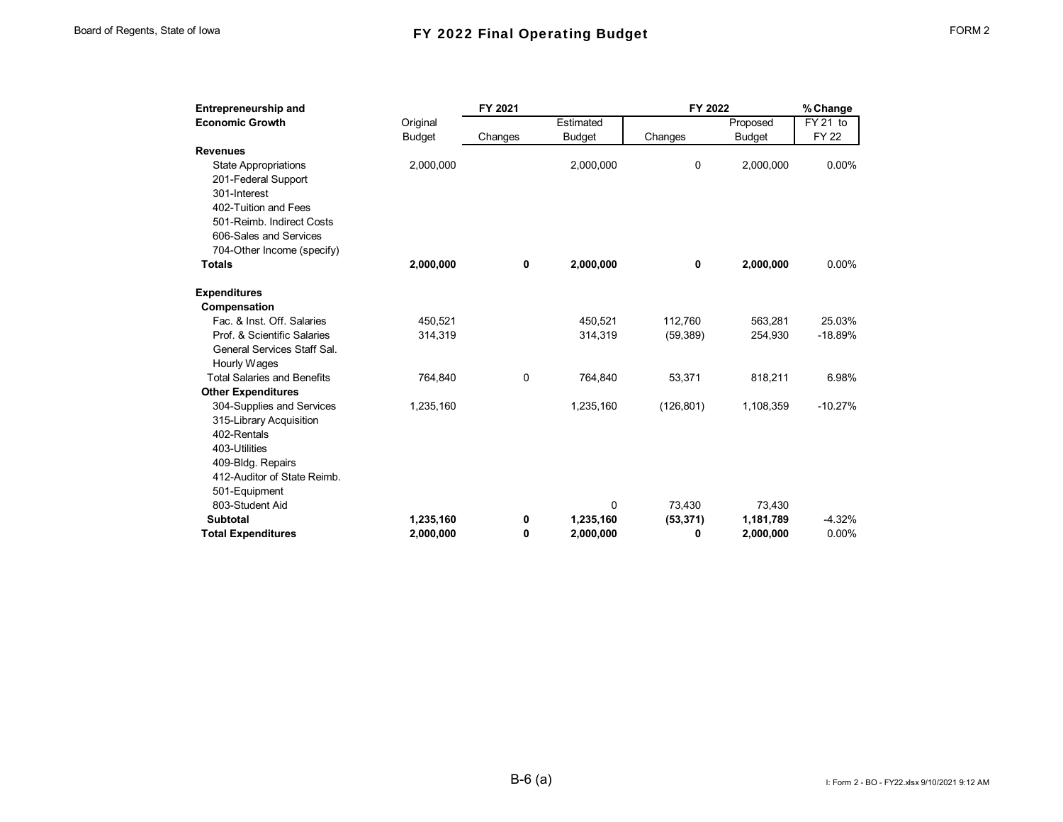| Entrepreneurship and               |               | FY 2021     |               | FY 2022    |               | % Change    |
|------------------------------------|---------------|-------------|---------------|------------|---------------|-------------|
| <b>Economic Growth</b>             | Original      |             | Estimated     |            | Proposed      | FY 21 to    |
|                                    | <b>Budget</b> | Changes     | <b>Budget</b> | Changes    | <b>Budget</b> | <b>FY22</b> |
| <b>Revenues</b>                    |               |             |               |            |               |             |
| <b>State Appropriations</b>        | 2,000,000     |             | 2,000,000     | 0          | 2,000,000     | 0.00%       |
| 201-Federal Support                |               |             |               |            |               |             |
| 301-Interest                       |               |             |               |            |               |             |
| 402-Tuition and Fees               |               |             |               |            |               |             |
| 501-Reimb. Indirect Costs          |               |             |               |            |               |             |
| 606-Sales and Services             |               |             |               |            |               |             |
| 704-Other Income (specify)         |               |             |               |            |               |             |
| <b>Totals</b>                      | 2,000,000     | 0           | 2,000,000     | 0          | 2,000,000     | 0.00%       |
| <b>Expenditures</b>                |               |             |               |            |               |             |
| Compensation                       |               |             |               |            |               |             |
| Fac. & Inst. Off. Salaries         | 450.521       |             | 450.521       | 112.760    | 563,281       | 25.03%      |
| Prof. & Scientific Salaries        | 314,319       |             | 314.319       | (59, 389)  | 254.930       | $-18.89%$   |
| General Services Staff Sal.        |               |             |               |            |               |             |
| Hourly Wages                       |               |             |               |            |               |             |
| <b>Total Salaries and Benefits</b> | 764,840       | $\mathbf 0$ | 764,840       | 53,371     | 818,211       | 6.98%       |
| <b>Other Expenditures</b>          |               |             |               |            |               |             |
| 304-Supplies and Services          | 1,235,160     |             | 1,235,160     | (126, 801) | 1,108,359     | $-10.27%$   |
| 315-Library Acquisition            |               |             |               |            |               |             |
| 402-Rentals                        |               |             |               |            |               |             |
| 403-Utilities                      |               |             |               |            |               |             |
| 409-Bldg. Repairs                  |               |             |               |            |               |             |
| 412-Auditor of State Reimb.        |               |             |               |            |               |             |
| 501-Equipment                      |               |             |               |            |               |             |
| 803-Student Aid                    |               |             | 0             | 73,430     | 73,430        |             |
| <b>Subtotal</b>                    | 1,235,160     | 0           | 1,235,160     | (53, 371)  | 1,181,789     | $-4.32%$    |
| <b>Total Expenditures</b>          | 2.000.000     | 0           | 2,000,000     | 0          | 2.000.000     | 0.00%       |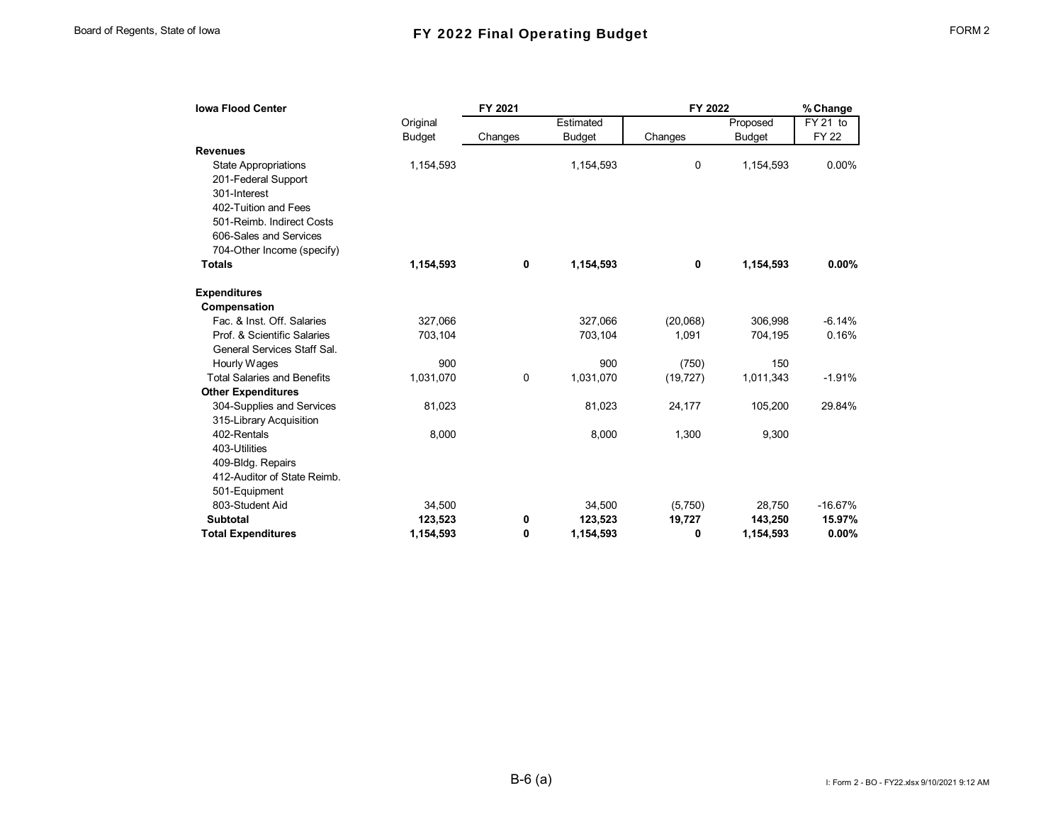| <b>Iowa Flood Center</b>           |               | FY 2021 |               | FY 2022   |               | % Change     |
|------------------------------------|---------------|---------|---------------|-----------|---------------|--------------|
|                                    | Original      |         | Estimated     |           | Proposed      | FY 21 to     |
|                                    | <b>Budget</b> | Changes | <b>Budget</b> | Changes   | <b>Budget</b> | <b>FY 22</b> |
| <b>Revenues</b>                    |               |         |               |           |               |              |
| <b>State Appropriations</b>        | 1,154,593     |         | 1,154,593     | 0         | 1,154,593     | 0.00%        |
| 201-Federal Support                |               |         |               |           |               |              |
| 301-Interest                       |               |         |               |           |               |              |
| 402-Tuition and Fees               |               |         |               |           |               |              |
| 501-Reimb. Indirect Costs          |               |         |               |           |               |              |
| 606-Sales and Services             |               |         |               |           |               |              |
| 704-Other Income (specify)         |               |         |               |           |               |              |
| <b>Totals</b>                      | 1,154,593     | 0       | 1,154,593     | 0         | 1,154,593     | 0.00%        |
| <b>Expenditures</b>                |               |         |               |           |               |              |
| Compensation                       |               |         |               |           |               |              |
| Fac. & Inst. Off. Salaries         | 327,066       |         | 327,066       | (20,068)  | 306.998       | $-6.14%$     |
| Prof. & Scientific Salaries        | 703,104       |         | 703,104       | 1,091     | 704,195       | 0.16%        |
| General Services Staff Sal.        |               |         |               |           |               |              |
| Hourly Wages                       | 900           |         | 900           | (750)     | 150           |              |
| <b>Total Salaries and Benefits</b> | 1,031,070     | 0       | 1,031,070     | (19, 727) | 1,011,343     | $-1.91%$     |
| <b>Other Expenditures</b>          |               |         |               |           |               |              |
| 304-Supplies and Services          | 81,023        |         | 81,023        | 24,177    | 105,200       | 29.84%       |
| 315-Library Acquisition            |               |         |               |           |               |              |
| 402-Rentals                        | 8,000         |         | 8,000         | 1,300     | 9,300         |              |
| 403-Utilities                      |               |         |               |           |               |              |
| 409-Bldg. Repairs                  |               |         |               |           |               |              |
| 412-Auditor of State Reimb.        |               |         |               |           |               |              |
| 501-Equipment                      |               |         |               |           |               |              |
| 803-Student Aid                    | 34,500        |         | 34,500        | (5,750)   | 28,750        | $-16.67%$    |
| <b>Subtotal</b>                    | 123,523       | 0       | 123,523       | 19,727    | 143,250       | 15.97%       |
| <b>Total Expenditures</b>          | 1.154.593     | 0       | 1,154,593     | 0         | 1,154,593     | 0.00%        |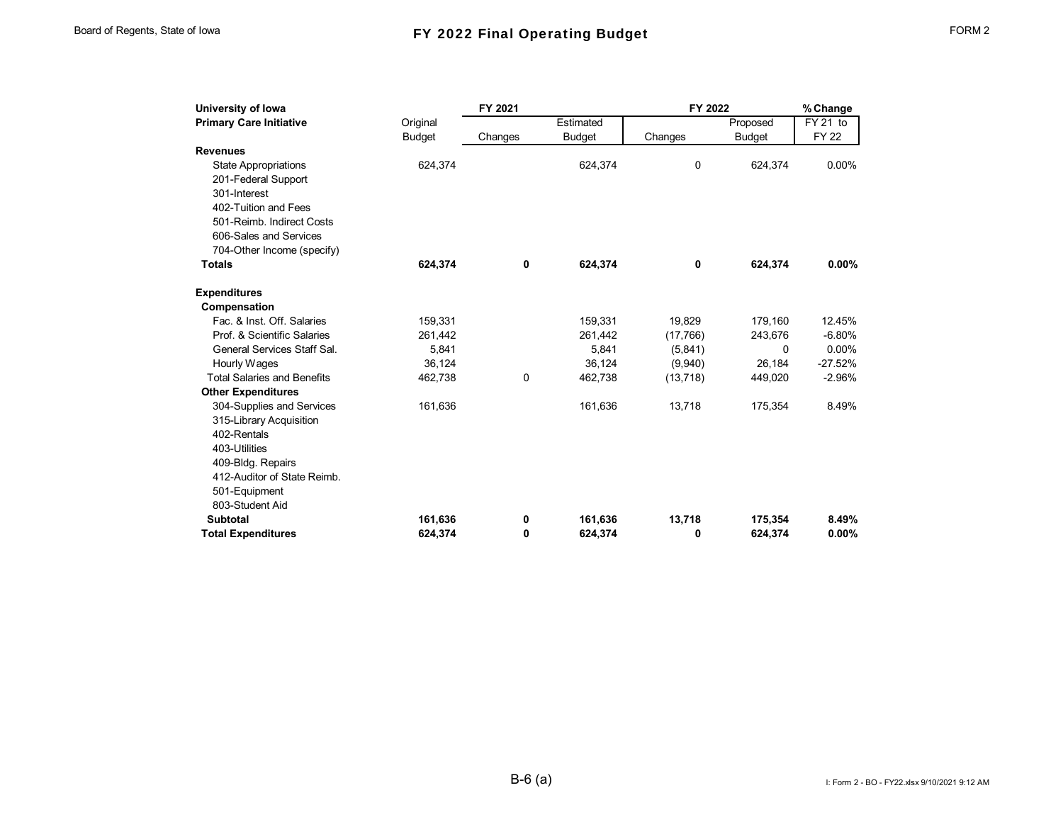| University of Iowa                 |               | FY 2021 |               | FY 2022   |               | % Change    |
|------------------------------------|---------------|---------|---------------|-----------|---------------|-------------|
| <b>Primary Care Initiative</b>     | Original      |         | Estimated     |           | Proposed      | $FY$ 21 to  |
|                                    | <b>Budget</b> | Changes | <b>Budget</b> | Changes   | <b>Budget</b> | <b>FY22</b> |
| <b>Revenues</b>                    |               |         |               |           |               |             |
| <b>State Appropriations</b>        | 624,374       |         | 624,374       | 0         | 624,374       | 0.00%       |
| 201-Federal Support                |               |         |               |           |               |             |
| 301-Interest                       |               |         |               |           |               |             |
| 402-Tuition and Fees               |               |         |               |           |               |             |
| 501-Reimb. Indirect Costs          |               |         |               |           |               |             |
| 606-Sales and Services             |               |         |               |           |               |             |
| 704-Other Income (specify)         |               |         |               |           |               |             |
| <b>Totals</b>                      | 624,374       | 0       | 624,374       | 0         | 624,374       | $0.00\%$    |
| <b>Expenditures</b>                |               |         |               |           |               |             |
| Compensation                       |               |         |               |           |               |             |
| Fac. & Inst. Off. Salaries         | 159,331       |         | 159,331       | 19,829    | 179,160       | 12.45%      |
| Prof. & Scientific Salaries        | 261,442       |         | 261,442       | (17,766)  | 243,676       | $-6.80%$    |
| General Services Staff Sal.        | 5,841         |         | 5,841         | (5,841)   | 0             | 0.00%       |
| Hourly Wages                       | 36,124        |         | 36,124        | (9,940)   | 26,184        | $-27.52%$   |
| <b>Total Salaries and Benefits</b> | 462,738       | 0       | 462,738       | (13, 718) | 449,020       | $-2.96%$    |
| <b>Other Expenditures</b>          |               |         |               |           |               |             |
| 304-Supplies and Services          | 161,636       |         | 161,636       | 13,718    | 175,354       | 8.49%       |
| 315-Library Acquisition            |               |         |               |           |               |             |
| 402-Rentals                        |               |         |               |           |               |             |
| 403-Utilities                      |               |         |               |           |               |             |
| 409-Bldg. Repairs                  |               |         |               |           |               |             |
| 412-Auditor of State Reimb.        |               |         |               |           |               |             |
| 501-Equipment                      |               |         |               |           |               |             |
| 803-Student Aid                    |               |         |               |           |               |             |
| <b>Subtotal</b>                    | 161,636       | 0       | 161,636       | 13,718    | 175,354       | 8.49%       |
| <b>Total Expenditures</b>          | 624.374       | 0       | 624.374       | 0         | 624,374       | 0.00%       |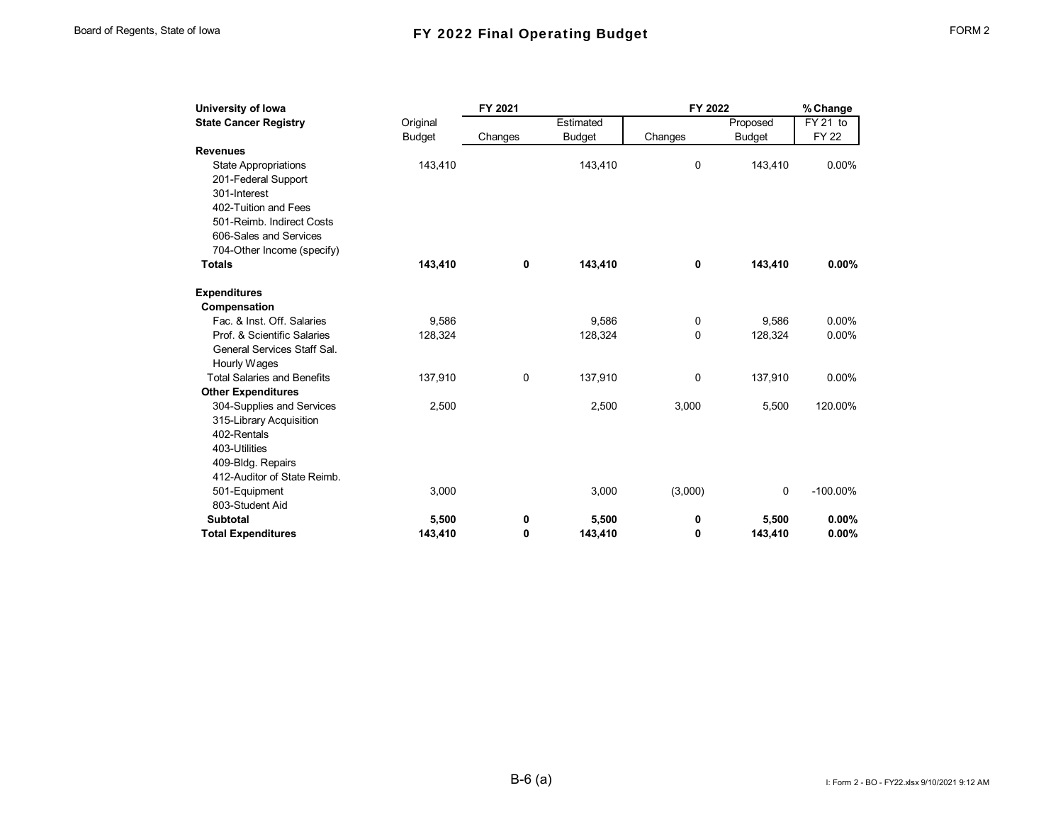| University of Iowa                 |               | FY 2021 |               | FY 2022 |               | % Change    |
|------------------------------------|---------------|---------|---------------|---------|---------------|-------------|
| <b>State Cancer Registry</b>       | Original      |         | Estimated     |         | Proposed      | $FY$ 21 to  |
|                                    | <b>Budget</b> | Changes | <b>Budget</b> | Changes | <b>Budget</b> | <b>FY22</b> |
| <b>Revenues</b>                    |               |         |               |         |               |             |
| <b>State Appropriations</b>        | 143,410       |         | 143,410       | 0       | 143,410       | 0.00%       |
| 201-Federal Support                |               |         |               |         |               |             |
| 301-Interest                       |               |         |               |         |               |             |
| 402-Tuition and Fees               |               |         |               |         |               |             |
| 501-Reimb. Indirect Costs          |               |         |               |         |               |             |
| 606-Sales and Services             |               |         |               |         |               |             |
| 704-Other Income (specify)         |               |         |               |         |               |             |
| <b>Totals</b>                      | 143,410       | 0       | 143,410       | 0       | 143,410       | 0.00%       |
| <b>Expenditures</b>                |               |         |               |         |               |             |
| Compensation                       |               |         |               |         |               |             |
| Fac. & Inst. Off. Salaries         | 9.586         |         | 9.586         | 0       | 9.586         | 0.00%       |
| Prof. & Scientific Salaries        | 128,324       |         | 128,324       | 0       | 128,324       | $0.00\%$    |
| General Services Staff Sal.        |               |         |               |         |               |             |
| Hourly Wages                       |               |         |               |         |               |             |
| <b>Total Salaries and Benefits</b> | 137,910       | 0       | 137,910       | 0       | 137,910       | $0.00\%$    |
| <b>Other Expenditures</b>          |               |         |               |         |               |             |
| 304-Supplies and Services          | 2,500         |         | 2,500         | 3,000   | 5,500         | 120.00%     |
| 315-Library Acquisition            |               |         |               |         |               |             |
| 402-Rentals                        |               |         |               |         |               |             |
| 403-Utilities                      |               |         |               |         |               |             |
| 409-Bldg. Repairs                  |               |         |               |         |               |             |
| 412-Auditor of State Reimb.        |               |         |               |         |               |             |
| 501-Equipment                      | 3,000         |         | 3,000         | (3,000) | 0             | $-100.00\%$ |
| 803-Student Aid                    |               |         |               |         |               |             |
| <b>Subtotal</b>                    | 5,500         | 0       | 5,500         | 0       | 5,500         | $0.00\%$    |
| <b>Total Expenditures</b>          | 143.410       | 0       | 143.410       | 0       | 143.410       | 0.00%       |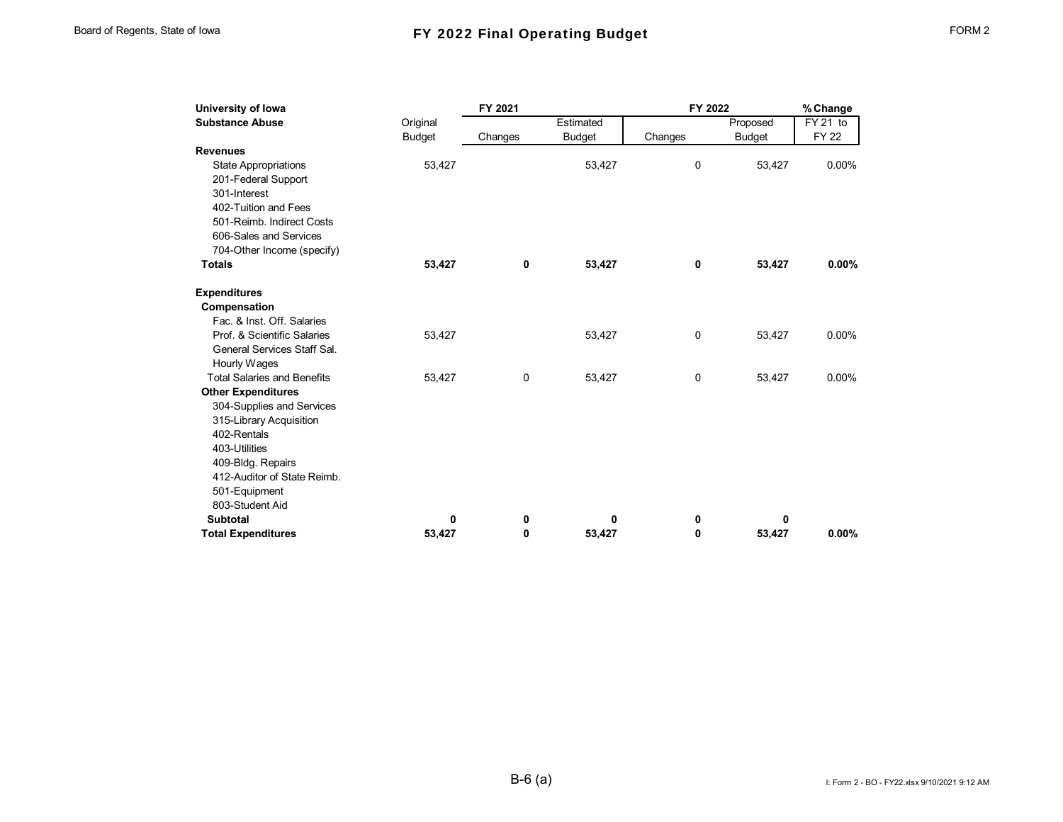| University of Iowa                 |               | FY 2021 |               | FY 2022      |               | % Change    |
|------------------------------------|---------------|---------|---------------|--------------|---------------|-------------|
| <b>Substance Abuse</b>             | Original      |         | Estimated     |              | Proposed      | $FY$ 21 to  |
|                                    | <b>Budget</b> | Changes | <b>Budget</b> | Changes      | <b>Budget</b> | <b>FY22</b> |
| <b>Revenues</b>                    |               |         |               |              |               |             |
| <b>State Appropriations</b>        | 53,427        |         | 53,427        | 0            | 53,427        | 0.00%       |
| 201-Federal Support                |               |         |               |              |               |             |
| 301-Interest                       |               |         |               |              |               |             |
| 402-Tuition and Fees               |               |         |               |              |               |             |
| 501-Reimb. Indirect Costs          |               |         |               |              |               |             |
| 606-Sales and Services             |               |         |               |              |               |             |
| 704-Other Income (specify)         |               |         |               |              |               |             |
| <b>Totals</b>                      | 53,427        | 0       | 53,427        | 0            | 53,427        | 0.00%       |
| <b>Expenditures</b>                |               |         |               |              |               |             |
| Compensation                       |               |         |               |              |               |             |
| Fac. & Inst. Off. Salaries         |               |         |               |              |               |             |
| Prof. & Scientific Salaries        | 53,427        |         | 53,427        | 0            | 53,427        | 0.00%       |
| General Services Staff Sal.        |               |         |               |              |               |             |
| Hourly Wages                       |               |         |               |              |               |             |
| <b>Total Salaries and Benefits</b> | 53,427        | 0       | 53,427        | $\mathbf 0$  | 53,427        | 0.00%       |
| <b>Other Expenditures</b>          |               |         |               |              |               |             |
| 304-Supplies and Services          |               |         |               |              |               |             |
| 315-Library Acquisition            |               |         |               |              |               |             |
| 402-Rentals                        |               |         |               |              |               |             |
| 403-Utilities                      |               |         |               |              |               |             |
| 409-Bldg. Repairs                  |               |         |               |              |               |             |
| 412-Auditor of State Reimb.        |               |         |               |              |               |             |
| 501-Equipment                      |               |         |               |              |               |             |
| 803-Student Aid                    |               |         |               |              |               |             |
| <b>Subtotal</b>                    | 0             | 0       | 0             | 0            | 0             |             |
| <b>Total Expenditures</b>          | 53.427        | 0       | 53.427        | $\mathbf{0}$ | 53.427        | 0.00%       |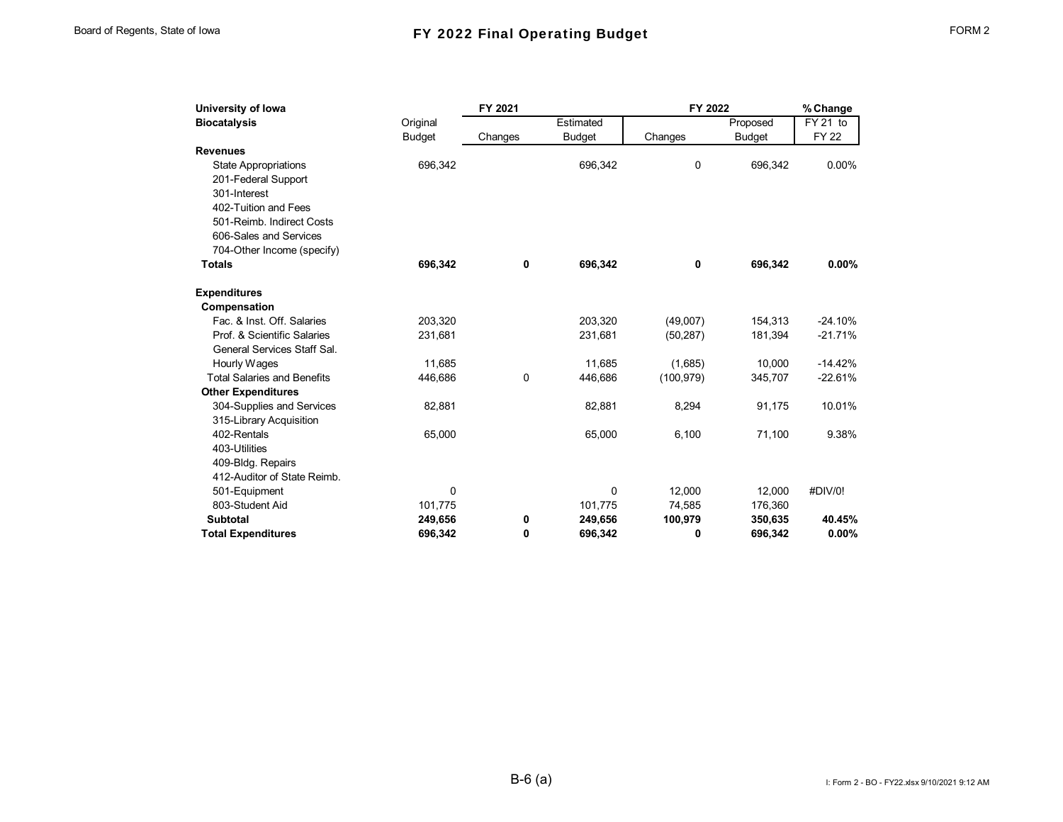| <b>Biocatalysis</b><br>Original<br><b>Budget</b><br>Changes<br><b>Revenues</b><br>696,342<br><b>State Appropriations</b><br>201-Federal Support | Estimated<br><b>Budget</b><br>Changes<br>696,342<br>0 | Proposed<br><b>Budget</b><br>696,342 | FY 21 to<br><b>FY 22</b><br>0.00% |
|-------------------------------------------------------------------------------------------------------------------------------------------------|-------------------------------------------------------|--------------------------------------|-----------------------------------|
|                                                                                                                                                 |                                                       |                                      |                                   |
|                                                                                                                                                 |                                                       |                                      |                                   |
|                                                                                                                                                 |                                                       |                                      |                                   |
|                                                                                                                                                 |                                                       |                                      |                                   |
|                                                                                                                                                 |                                                       |                                      |                                   |
| 301-Interest                                                                                                                                    |                                                       |                                      |                                   |
| 402-Tuition and Fees                                                                                                                            |                                                       |                                      |                                   |
| 501-Reimb. Indirect Costs                                                                                                                       |                                                       |                                      |                                   |
| 606-Sales and Services                                                                                                                          |                                                       |                                      |                                   |
| 704-Other Income (specify)                                                                                                                      |                                                       |                                      |                                   |
| <b>Totals</b><br>696,342<br>0                                                                                                                   | 696,342<br>0                                          | 696,342                              | 0.00%                             |
| <b>Expenditures</b>                                                                                                                             |                                                       |                                      |                                   |
| Compensation                                                                                                                                    |                                                       |                                      |                                   |
| Fac. & Inst. Off. Salaries<br>203,320                                                                                                           | 203,320<br>(49,007)                                   | 154,313                              | $-24.10%$                         |
| Prof. & Scientific Salaries<br>231,681                                                                                                          | 231,681<br>(50, 287)                                  | 181,394                              | $-21.71%$                         |
| General Services Staff Sal.                                                                                                                     |                                                       |                                      |                                   |
| Hourly Wages<br>11,685                                                                                                                          | 11,685<br>(1,685)                                     | 10.000                               | $-14.42%$                         |
| 0<br><b>Total Salaries and Benefits</b><br>446,686                                                                                              | 446,686<br>(100, 979)                                 | 345,707                              | $-22.61%$                         |
| <b>Other Expenditures</b>                                                                                                                       |                                                       |                                      |                                   |
| 304-Supplies and Services<br>82,881                                                                                                             | 82,881<br>8,294                                       | 91,175                               | 10.01%                            |
| 315-Library Acquisition                                                                                                                         |                                                       |                                      |                                   |
| 402-Rentals<br>65,000                                                                                                                           | 65,000<br>6,100                                       | 71,100                               | 9.38%                             |
| 403-Utilities                                                                                                                                   |                                                       |                                      |                                   |
| 409-Bldg. Repairs                                                                                                                               |                                                       |                                      |                                   |
| 412-Auditor of State Reimb.                                                                                                                     |                                                       |                                      |                                   |
| 0<br>501-Equipment                                                                                                                              | 0<br>12,000                                           | 12,000                               | #DIV/0!                           |
| 803-Student Aid<br>101,775                                                                                                                      | 101,775<br>74,585                                     | 176,360                              |                                   |
| <b>Subtotal</b><br>249,656<br>0                                                                                                                 | 100,979<br>249,656                                    | 350,635                              | 40.45%                            |
| $\mathbf{0}$<br><b>Total Expenditures</b><br>696,342                                                                                            | 696,342<br>0                                          | 696,342                              | 0.00%                             |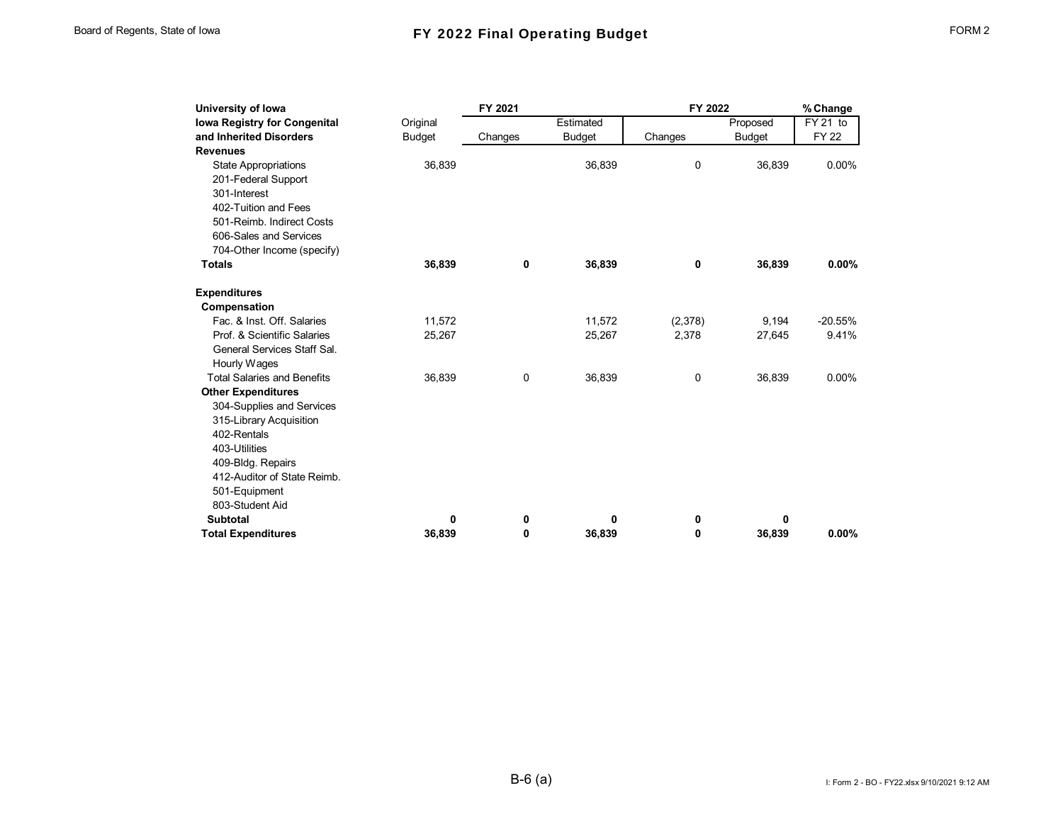| University of Iowa                  |               | FY 2021     |               | FY 2022 |               | % Change     |
|-------------------------------------|---------------|-------------|---------------|---------|---------------|--------------|
| <b>Iowa Registry for Congenital</b> | Original      |             | Estimated     |         | Proposed      | FY 21 to     |
| and Inherited Disorders             | <b>Budget</b> | Changes     | <b>Budget</b> | Changes | <b>Budget</b> | <b>FY 22</b> |
| <b>Revenues</b>                     |               |             |               |         |               |              |
| <b>State Appropriations</b>         | 36,839        |             | 36,839        | 0       | 36,839        | $0.00\%$     |
| 201-Federal Support                 |               |             |               |         |               |              |
| 301-Interest                        |               |             |               |         |               |              |
| 402-Tuition and Fees                |               |             |               |         |               |              |
| 501-Reimb. Indirect Costs           |               |             |               |         |               |              |
| 606-Sales and Services              |               |             |               |         |               |              |
| 704-Other Income (specify)          |               |             |               |         |               |              |
| <b>Totals</b>                       | 36,839        | 0           | 36,839        | 0       | 36,839        | $0.00\%$     |
| <b>Expenditures</b>                 |               |             |               |         |               |              |
| Compensation                        |               |             |               |         |               |              |
| Fac. & Inst. Off. Salaries          | 11,572        |             | 11,572        | (2,378) | 9,194         | $-20.55%$    |
| Prof. & Scientific Salaries         | 25,267        |             | 25,267        | 2,378   | 27,645        | 9.41%        |
| General Services Staff Sal.         |               |             |               |         |               |              |
| Hourly Wages                        |               |             |               |         |               |              |
| <b>Total Salaries and Benefits</b>  | 36,839        | $\mathbf 0$ | 36,839        | 0       | 36,839        | $0.00\%$     |
| <b>Other Expenditures</b>           |               |             |               |         |               |              |
| 304-Supplies and Services           |               |             |               |         |               |              |
| 315-Library Acquisition             |               |             |               |         |               |              |
| 402-Rentals                         |               |             |               |         |               |              |
| 403-Utilities                       |               |             |               |         |               |              |
| 409-Bldg. Repairs                   |               |             |               |         |               |              |
| 412-Auditor of State Reimb.         |               |             |               |         |               |              |
| 501-Equipment                       |               |             |               |         |               |              |
| 803-Student Aid                     |               |             |               |         |               |              |
| <b>Subtotal</b>                     | 0             | 0           | 0             | 0       | 0             |              |
| <b>Total Expenditures</b>           | 36.839        | 0           | 36,839        | 0       | 36,839        | $0.00\%$     |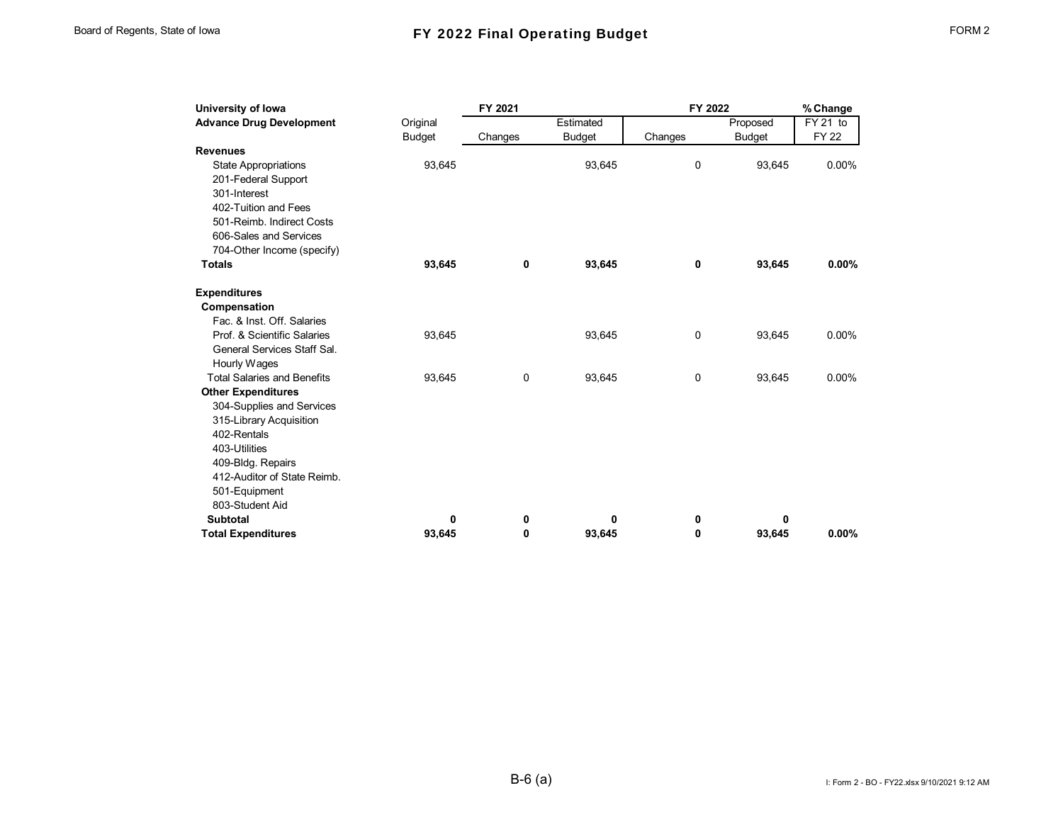| University of Iowa                 |               | FY 2021 |               | FY 2022     |               | % Change    |
|------------------------------------|---------------|---------|---------------|-------------|---------------|-------------|
| <b>Advance Drug Development</b>    | Original      |         | Estimated     |             | Proposed      | $FY$ 21 to  |
|                                    | <b>Budget</b> | Changes | <b>Budget</b> | Changes     | <b>Budget</b> | <b>FY22</b> |
| <b>Revenues</b>                    |               |         |               |             |               |             |
| <b>State Appropriations</b>        | 93,645        |         | 93,645        | 0           | 93,645        | 0.00%       |
| 201-Federal Support                |               |         |               |             |               |             |
| 301-Interest                       |               |         |               |             |               |             |
| 402-Tuition and Fees               |               |         |               |             |               |             |
| 501-Reimb. Indirect Costs          |               |         |               |             |               |             |
| 606-Sales and Services             |               |         |               |             |               |             |
| 704-Other Income (specify)         |               |         |               |             |               |             |
| <b>Totals</b>                      | 93,645        | 0       | 93,645        | 0           | 93,645        | $0.00\%$    |
| <b>Expenditures</b>                |               |         |               |             |               |             |
| Compensation                       |               |         |               |             |               |             |
| Fac. & Inst. Off. Salaries         |               |         |               |             |               |             |
| Prof. & Scientific Salaries        | 93,645        |         | 93,645        | 0           | 93,645        | 0.00%       |
| General Services Staff Sal.        |               |         |               |             |               |             |
| Hourly Wages                       |               |         |               |             |               |             |
| <b>Total Salaries and Benefits</b> | 93,645        | 0       | 93,645        | $\mathbf 0$ | 93,645        | 0.00%       |
| <b>Other Expenditures</b>          |               |         |               |             |               |             |
| 304-Supplies and Services          |               |         |               |             |               |             |
| 315-Library Acquisition            |               |         |               |             |               |             |
| 402-Rentals                        |               |         |               |             |               |             |
| 403-Utilities                      |               |         |               |             |               |             |
| 409-Bldg. Repairs                  |               |         |               |             |               |             |
| 412-Auditor of State Reimb.        |               |         |               |             |               |             |
| 501-Equipment                      |               |         |               |             |               |             |
| 803-Student Aid                    |               |         |               |             |               |             |
| <b>Subtotal</b>                    | 0             | 0       | 0             | 0           | 0             |             |
| <b>Total Expenditures</b>          | 93.645        | 0       | 93.645        | 0           | 93.645        | $0.00\%$    |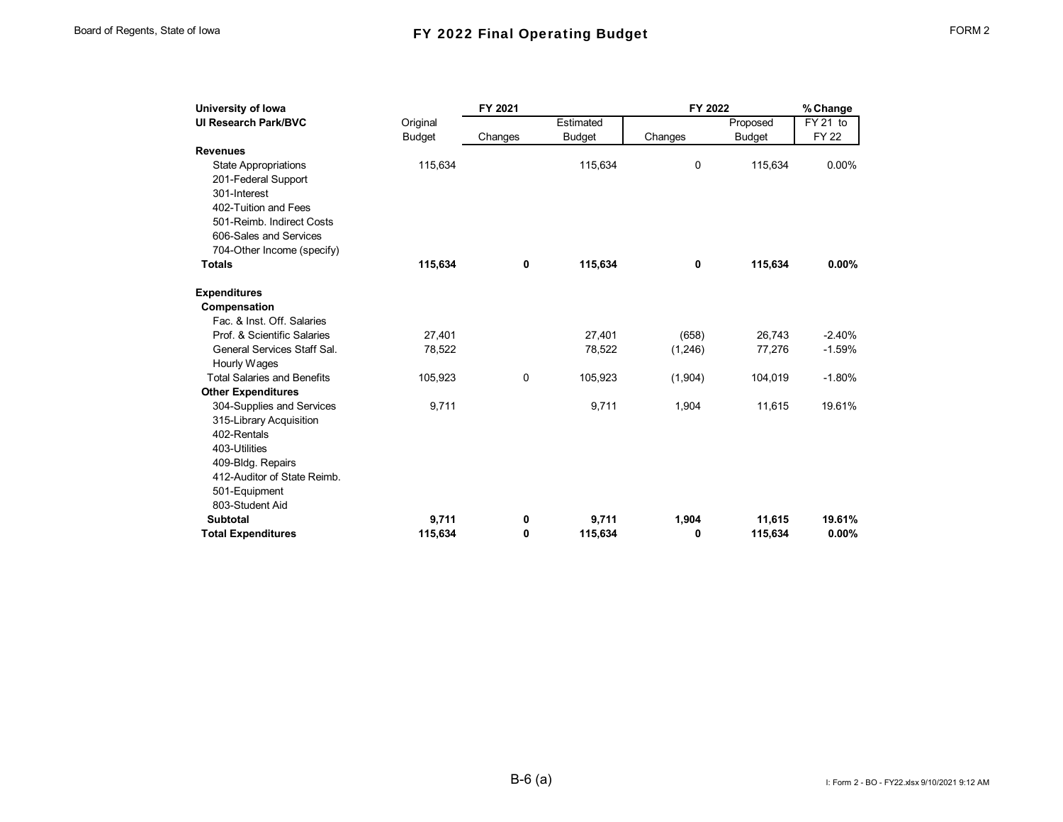| University of Iowa                 |               | FY 2021 |               | FY 2022     |               | % Change    |
|------------------------------------|---------------|---------|---------------|-------------|---------------|-------------|
| <b>UI Research Park/BVC</b>        | Original      |         | Estimated     |             | Proposed      | FY 21 to    |
|                                    | <b>Budget</b> | Changes | <b>Budget</b> | Changes     | <b>Budget</b> | <b>FY22</b> |
| <b>Revenues</b>                    |               |         |               |             |               |             |
| <b>State Appropriations</b>        | 115,634       |         | 115,634       | $\mathbf 0$ | 115,634       | 0.00%       |
| 201-Federal Support                |               |         |               |             |               |             |
| 301-Interest                       |               |         |               |             |               |             |
| 402-Tuition and Fees               |               |         |               |             |               |             |
| 501-Reimb. Indirect Costs          |               |         |               |             |               |             |
| 606-Sales and Services             |               |         |               |             |               |             |
| 704-Other Income (specify)         |               |         |               |             |               |             |
| <b>Totals</b>                      | 115,634       | 0       | 115,634       | 0           | 115,634       | $0.00\%$    |
| <b>Expenditures</b>                |               |         |               |             |               |             |
| Compensation                       |               |         |               |             |               |             |
| Fac. & Inst. Off. Salaries         |               |         |               |             |               |             |
| Prof. & Scientific Salaries        | 27,401        |         | 27,401        | (658)       | 26,743        | $-2.40%$    |
| General Services Staff Sal.        | 78,522        |         | 78,522        | (1,246)     | 77,276        | $-1.59%$    |
| Hourly Wages                       |               |         |               |             |               |             |
| <b>Total Salaries and Benefits</b> | 105,923       | 0       | 105,923       | (1,904)     | 104,019       | $-1.80%$    |
| <b>Other Expenditures</b>          |               |         |               |             |               |             |
| 304-Supplies and Services          | 9,711         |         | 9,711         | 1,904       | 11,615        | 19.61%      |
| 315-Library Acquisition            |               |         |               |             |               |             |
| 402-Rentals                        |               |         |               |             |               |             |
| 403-Utilities                      |               |         |               |             |               |             |
| 409-Bldg. Repairs                  |               |         |               |             |               |             |
| 412-Auditor of State Reimb.        |               |         |               |             |               |             |
| 501-Equipment                      |               |         |               |             |               |             |
| 803-Student Aid                    |               |         |               |             |               |             |
| <b>Subtotal</b>                    | 9,711         | 0       | 9,711         | 1,904       | 11,615        | 19.61%      |
| <b>Total Expenditures</b>          | 115.634       | 0       | 115.634       | 0           | 115,634       | 0.00%       |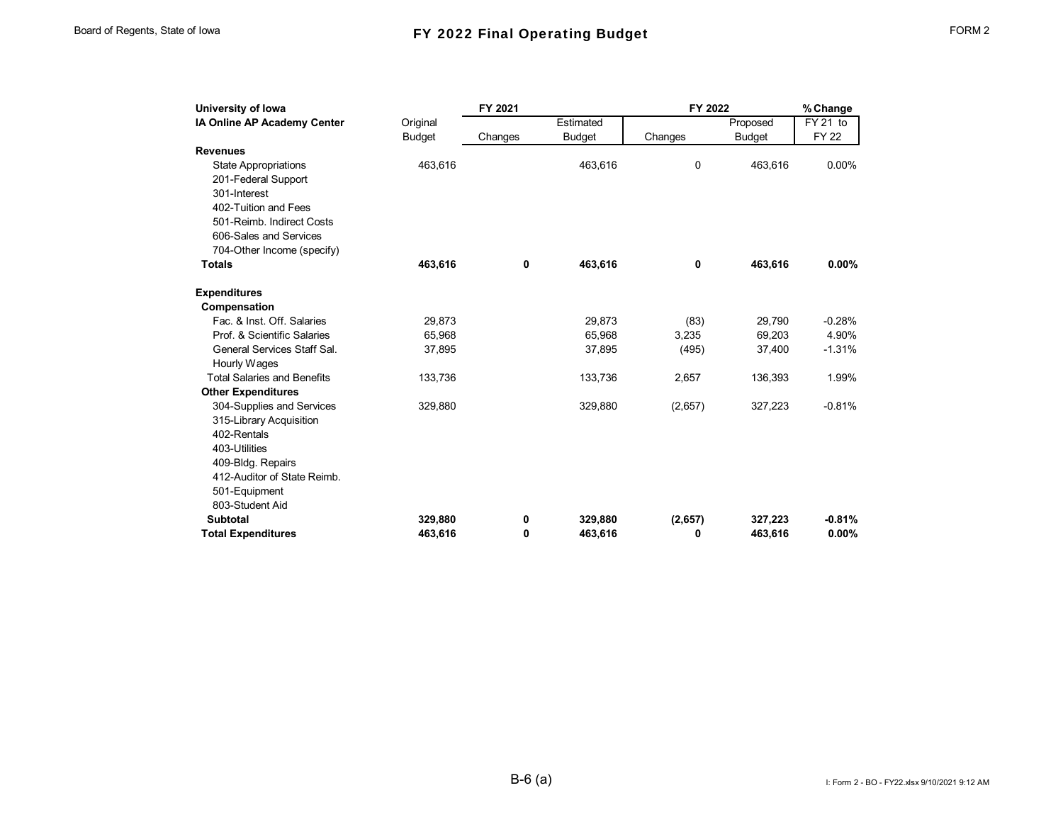| University of Iowa                 |               | FY 2021 |               | FY 2022 |               | % Change    |
|------------------------------------|---------------|---------|---------------|---------|---------------|-------------|
| IA Online AP Academy Center        | Original      |         | Estimated     |         | Proposed      | FY 21 to    |
|                                    | <b>Budget</b> | Changes | <b>Budget</b> | Changes | <b>Budget</b> | <b>FY22</b> |
| <b>Revenues</b>                    |               |         |               |         |               |             |
| <b>State Appropriations</b>        | 463,616       |         | 463.616       | 0       | 463.616       | 0.00%       |
| 201-Federal Support                |               |         |               |         |               |             |
| 301-Interest                       |               |         |               |         |               |             |
| 402-Tuition and Fees               |               |         |               |         |               |             |
| 501-Reimb. Indirect Costs          |               |         |               |         |               |             |
| 606-Sales and Services             |               |         |               |         |               |             |
| 704-Other Income (specify)         |               |         |               |         |               |             |
| <b>Totals</b>                      | 463,616       | 0       | 463,616       | 0       | 463,616       | $0.00\%$    |
| <b>Expenditures</b>                |               |         |               |         |               |             |
| Compensation                       |               |         |               |         |               |             |
| Fac. & Inst. Off. Salaries         | 29,873        |         | 29,873        | (83)    | 29,790        | $-0.28%$    |
| Prof. & Scientific Salaries        | 65,968        |         | 65,968        | 3,235   | 69,203        | 4.90%       |
| General Services Staff Sal.        | 37,895        |         | 37,895        | (495)   | 37,400        | $-1.31%$    |
| Hourly Wages                       |               |         |               |         |               |             |
| <b>Total Salaries and Benefits</b> | 133,736       |         | 133,736       | 2,657   | 136,393       | 1.99%       |
| <b>Other Expenditures</b>          |               |         |               |         |               |             |
| 304-Supplies and Services          | 329,880       |         | 329,880       | (2,657) | 327,223       | $-0.81%$    |
| 315-Library Acquisition            |               |         |               |         |               |             |
| 402-Rentals                        |               |         |               |         |               |             |
| 403-Utilities                      |               |         |               |         |               |             |
| 409-Bldg. Repairs                  |               |         |               |         |               |             |
| 412-Auditor of State Reimb.        |               |         |               |         |               |             |
| 501-Equipment                      |               |         |               |         |               |             |
| 803-Student Aid                    |               |         |               |         |               |             |
| <b>Subtotal</b>                    | 329,880       | 0       | 329,880       | (2,657) | 327,223       | $-0.81%$    |
| <b>Total Expenditures</b>          | 463.616       | 0       | 463.616       | 0       | 463.616       | 0.00%       |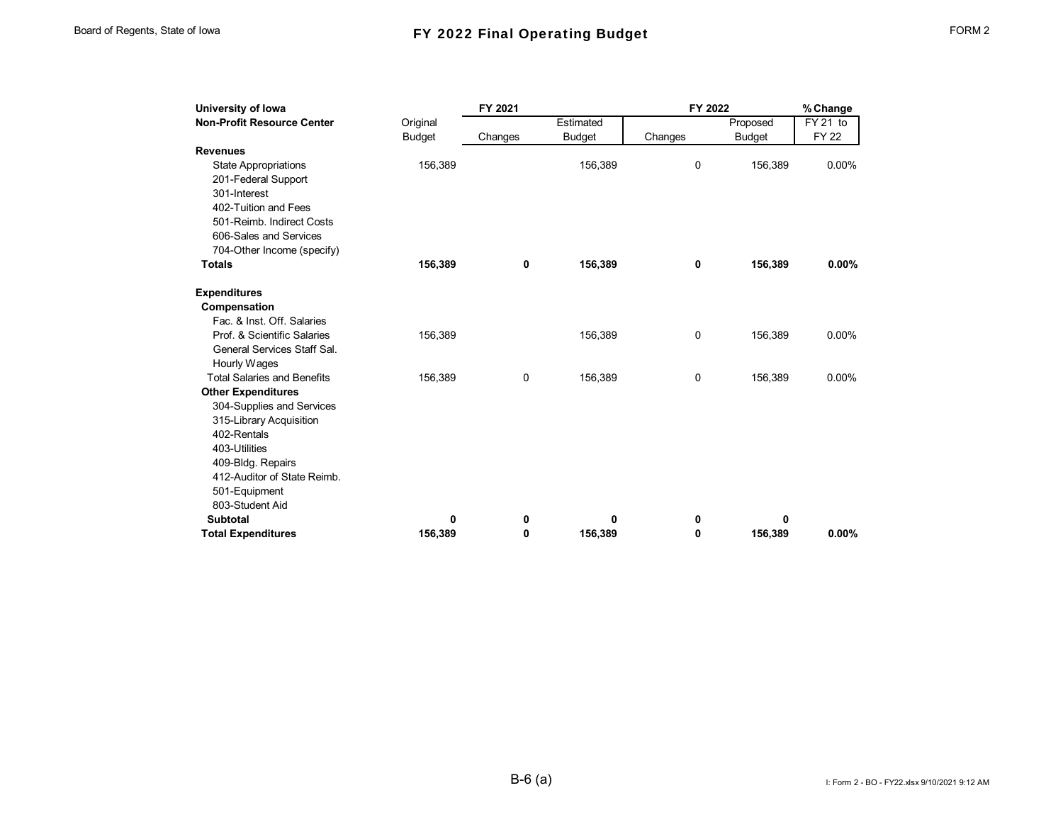| University of Iowa                 |               | FY 2021 |               | FY 2022 |               | % Change    |
|------------------------------------|---------------|---------|---------------|---------|---------------|-------------|
| <b>Non-Profit Resource Center</b>  | Original      |         | Estimated     |         | Proposed      | FY 21 to    |
|                                    | <b>Budget</b> | Changes | <b>Budget</b> | Changes | <b>Budget</b> | <b>FY22</b> |
| <b>Revenues</b>                    |               |         |               |         |               |             |
| <b>State Appropriations</b>        | 156,389       |         | 156,389       | 0       | 156,389       | 0.00%       |
| 201-Federal Support                |               |         |               |         |               |             |
| 301-Interest                       |               |         |               |         |               |             |
| 402-Tuition and Fees               |               |         |               |         |               |             |
| 501-Reimb. Indirect Costs          |               |         |               |         |               |             |
| 606-Sales and Services             |               |         |               |         |               |             |
| 704-Other Income (specify)         |               |         |               |         |               |             |
| <b>Totals</b>                      | 156,389       | 0       | 156,389       | 0       | 156,389       | 0.00%       |
| <b>Expenditures</b>                |               |         |               |         |               |             |
| Compensation                       |               |         |               |         |               |             |
| Fac. & Inst. Off. Salaries         |               |         |               |         |               |             |
| Prof. & Scientific Salaries        | 156,389       |         | 156,389       | 0       | 156,389       | $0.00\%$    |
| General Services Staff Sal.        |               |         |               |         |               |             |
| Hourly Wages                       |               |         |               |         |               |             |
| <b>Total Salaries and Benefits</b> | 156,389       | 0       | 156,389       | 0       | 156,389       | 0.00%       |
| <b>Other Expenditures</b>          |               |         |               |         |               |             |
| 304-Supplies and Services          |               |         |               |         |               |             |
| 315-Library Acquisition            |               |         |               |         |               |             |
| 402-Rentals                        |               |         |               |         |               |             |
| 403-Utilities                      |               |         |               |         |               |             |
| 409-Bldg. Repairs                  |               |         |               |         |               |             |
| 412-Auditor of State Reimb.        |               |         |               |         |               |             |
| 501-Equipment                      |               |         |               |         |               |             |
| 803-Student Aid                    |               |         |               |         |               |             |
| <b>Subtotal</b>                    | 0             | 0       | 0             | 0       | 0             |             |
| <b>Total Expenditures</b>          | 156.389       | 0       | 156,389       | 0       | 156,389       | 0.00%       |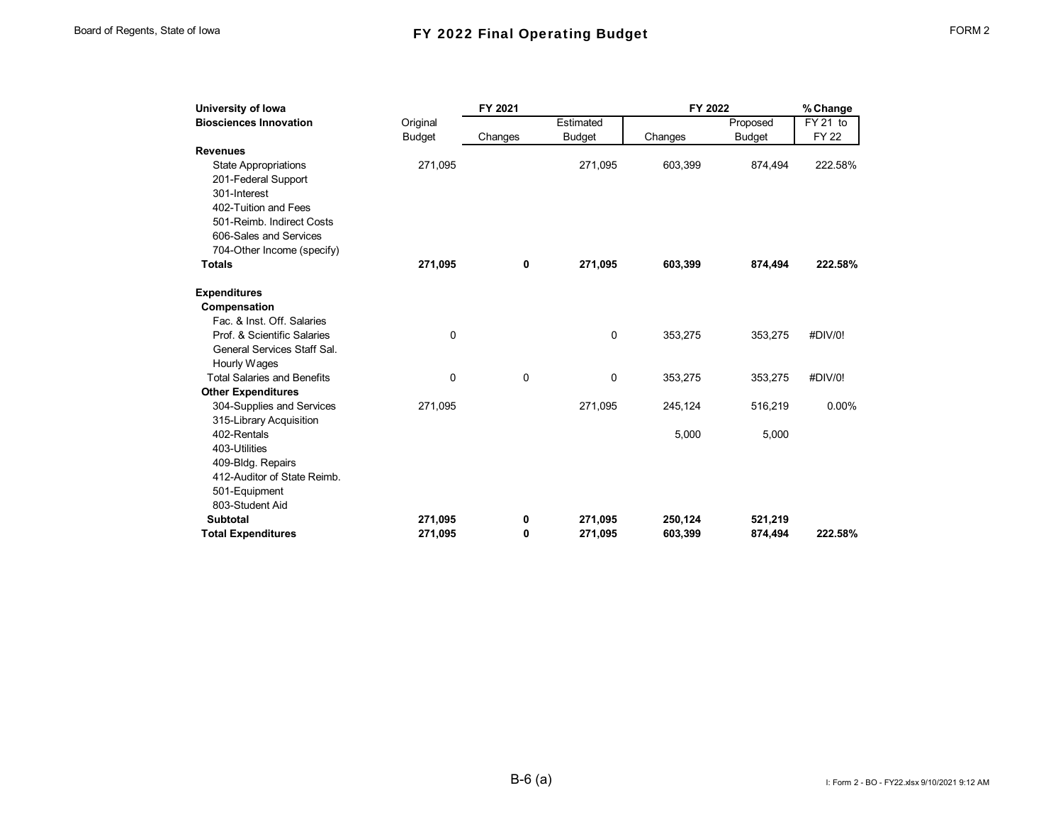| University of Iowa                 |               | FY 2021 |               | FY 2022 |               | % Change     |
|------------------------------------|---------------|---------|---------------|---------|---------------|--------------|
| <b>Biosciences Innovation</b>      | Original      |         | Estimated     |         | Proposed      | FY 21 to     |
|                                    | <b>Budget</b> | Changes | <b>Budget</b> | Changes | <b>Budget</b> | <b>FY 22</b> |
| <b>Revenues</b>                    |               |         |               |         |               |              |
| <b>State Appropriations</b>        | 271,095       |         | 271,095       | 603,399 | 874,494       | 222.58%      |
| 201-Federal Support                |               |         |               |         |               |              |
| 301-Interest                       |               |         |               |         |               |              |
| 402-Tuition and Fees               |               |         |               |         |               |              |
| 501-Reimb. Indirect Costs          |               |         |               |         |               |              |
| 606-Sales and Services             |               |         |               |         |               |              |
| 704-Other Income (specify)         |               |         |               |         |               |              |
| <b>Totals</b>                      | 271,095       | 0       | 271,095       | 603,399 | 874,494       | 222.58%      |
| <b>Expenditures</b>                |               |         |               |         |               |              |
| Compensation                       |               |         |               |         |               |              |
| Fac. & Inst. Off. Salaries         |               |         |               |         |               |              |
| Prof. & Scientific Salaries        | $\mathbf 0$   |         | 0             | 353,275 | 353,275       | #DIV/0!      |
| General Services Staff Sal.        |               |         |               |         |               |              |
| Hourly Wages                       |               |         |               |         |               |              |
| <b>Total Salaries and Benefits</b> | 0             | 0       | 0             | 353,275 | 353,275       | #DIV/0!      |
| <b>Other Expenditures</b>          |               |         |               |         |               |              |
| 304-Supplies and Services          | 271,095       |         | 271,095       | 245,124 | 516,219       | 0.00%        |
| 315-Library Acquisition            |               |         |               |         |               |              |
| 402-Rentals                        |               |         |               | 5,000   | 5,000         |              |
| 403-Utilities                      |               |         |               |         |               |              |
| 409-Bldg. Repairs                  |               |         |               |         |               |              |
| 412-Auditor of State Reimb.        |               |         |               |         |               |              |
| 501-Equipment                      |               |         |               |         |               |              |
| 803-Student Aid                    |               |         |               |         |               |              |
| <b>Subtotal</b>                    | 271,095       | 0       | 271,095       | 250,124 | 521,219       |              |
| <b>Total Expenditures</b>          | 271,095       | 0       | 271,095       | 603.399 | 874.494       | 222.58%      |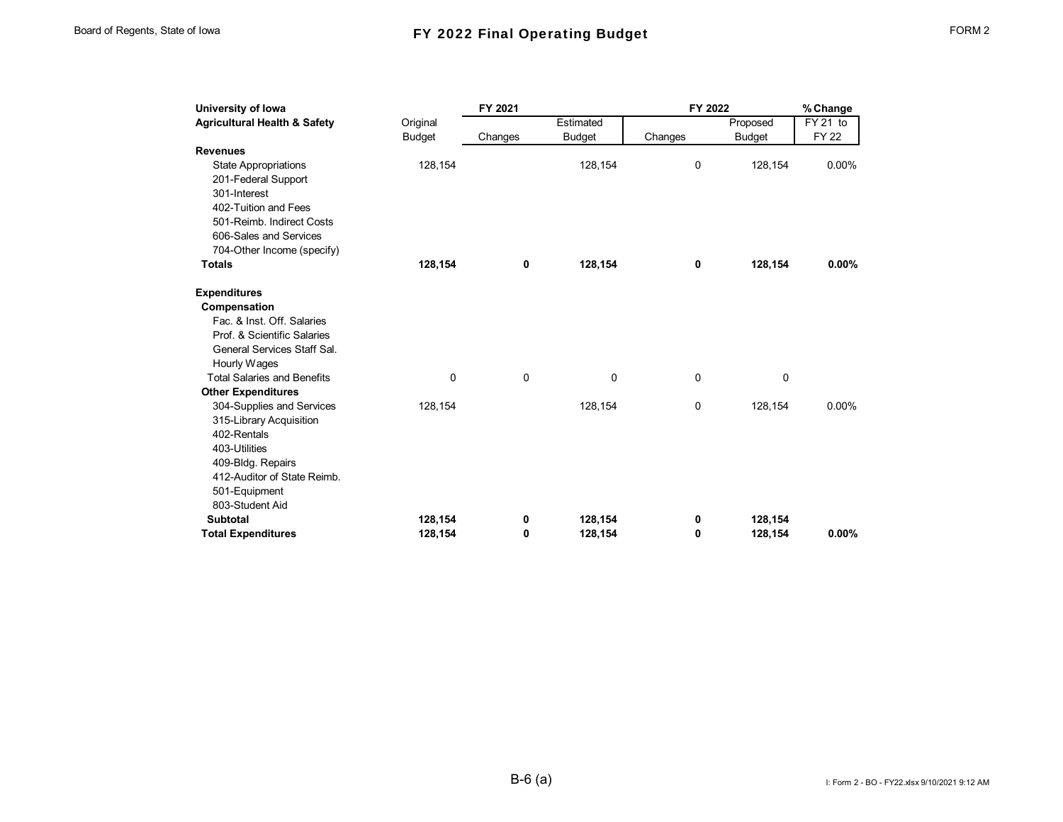| University of Iowa                      |               | FY 2021  |               |         | FY 2022       |             |  |
|-----------------------------------------|---------------|----------|---------------|---------|---------------|-------------|--|
| <b>Agricultural Health &amp; Safety</b> | Original      |          | Estimated     |         | Proposed      | FY 21 to    |  |
|                                         | <b>Budget</b> | Changes  | <b>Budget</b> | Changes | <b>Budget</b> | <b>FY22</b> |  |
| <b>Revenues</b>                         |               |          |               |         |               |             |  |
| <b>State Appropriations</b>             | 128,154       |          | 128,154       | 0       | 128,154       | 0.00%       |  |
| 201-Federal Support                     |               |          |               |         |               |             |  |
| 301-Interest                            |               |          |               |         |               |             |  |
| 402-Tuition and Fees                    |               |          |               |         |               |             |  |
| 501-Reimb. Indirect Costs               |               |          |               |         |               |             |  |
| 606-Sales and Services                  |               |          |               |         |               |             |  |
| 704-Other Income (specify)              |               |          |               |         |               |             |  |
| <b>Totals</b>                           | 128,154       | 0        | 128,154       | 0       | 128,154       | 0.00%       |  |
| <b>Expenditures</b>                     |               |          |               |         |               |             |  |
| Compensation                            |               |          |               |         |               |             |  |
| Fac. & Inst. Off. Salaries              |               |          |               |         |               |             |  |
| Prof. & Scientific Salaries             |               |          |               |         |               |             |  |
| General Services Staff Sal.             |               |          |               |         |               |             |  |
| Hourly Wages                            |               |          |               |         |               |             |  |
| <b>Total Salaries and Benefits</b>      | $\Omega$      | $\Omega$ | 0             | 0       | 0             |             |  |
| <b>Other Expenditures</b>               |               |          |               |         |               |             |  |
| 304-Supplies and Services               | 128,154       |          | 128,154       | 0       | 128,154       | 0.00%       |  |
| 315-Library Acquisition                 |               |          |               |         |               |             |  |
| 402-Rentals                             |               |          |               |         |               |             |  |
| 403-Utilities                           |               |          |               |         |               |             |  |
| 409-Bldg. Repairs                       |               |          |               |         |               |             |  |
| 412-Auditor of State Reimb.             |               |          |               |         |               |             |  |
| 501-Equipment                           |               |          |               |         |               |             |  |
| 803-Student Aid                         |               |          |               |         |               |             |  |
| <b>Subtotal</b>                         | 128,154       | 0        | 128,154       | 0       | 128,154       |             |  |
| <b>Total Expenditures</b>               | 128,154       | 0        | 128,154       | 0       | 128,154       | 0.00%       |  |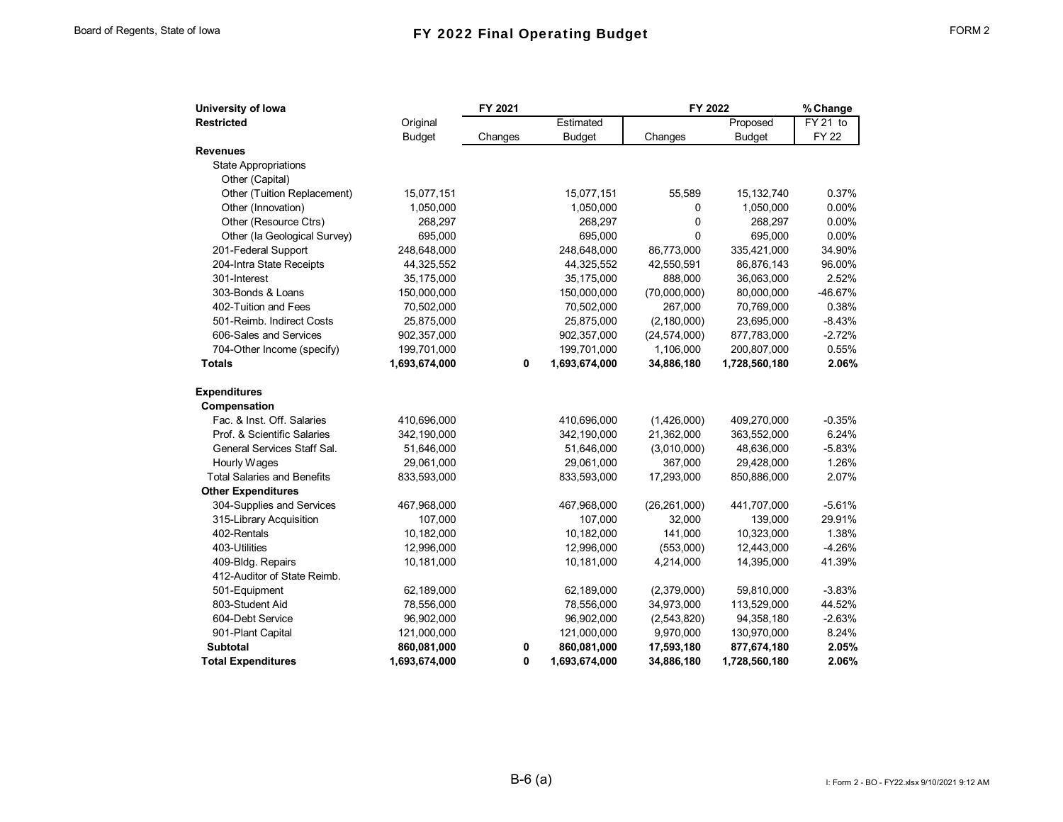| University of Iowa                 | FY 2021       |         |               | FY 2022        | % Change      |             |
|------------------------------------|---------------|---------|---------------|----------------|---------------|-------------|
| <b>Restricted</b>                  | Original      |         | Estimated     |                | Proposed      | FY 21 to    |
|                                    | <b>Budget</b> | Changes | <b>Budget</b> | Changes        | <b>Budget</b> | <b>FY22</b> |
| <b>Revenues</b>                    |               |         |               |                |               |             |
| <b>State Appropriations</b>        |               |         |               |                |               |             |
| Other (Capital)                    |               |         |               |                |               |             |
| Other (Tuition Replacement)        | 15,077,151    |         | 15,077,151    | 55,589         | 15,132,740    | 0.37%       |
| Other (Innovation)                 | 1,050,000     |         | 1,050,000     | 0              | 1,050,000     | 0.00%       |
| Other (Resource Ctrs)              | 268,297       |         | 268,297       | 0              | 268,297       | 0.00%       |
| Other (la Geological Survey)       | 695,000       |         | 695,000       | 0              | 695,000       | 0.00%       |
| 201-Federal Support                | 248,648,000   |         | 248,648,000   | 86,773,000     | 335,421,000   | 34.90%      |
| 204-Intra State Receipts           | 44,325,552    |         | 44,325,552    | 42,550,591     | 86,876,143    | 96.00%      |
| 301-Interest                       | 35,175,000    |         | 35,175,000    | 888,000        | 36,063,000    | 2.52%       |
| 303-Bonds & Loans                  | 150,000,000   |         | 150,000,000   | (70,000,000)   | 80,000,000    | -46.67%     |
| 402-Tuition and Fees               | 70,502,000    |         | 70,502,000    | 267,000        | 70,769,000    | 0.38%       |
| 501-Reimb. Indirect Costs          | 25,875,000    |         | 25,875,000    | (2, 180, 000)  | 23,695,000    | $-8.43%$    |
| 606-Sales and Services             | 902,357,000   |         | 902,357,000   | (24, 574, 000) | 877,783,000   | $-2.72%$    |
| 704-Other Income (specify)         | 199,701,000   |         | 199,701,000   | 1,106,000      | 200,807,000   | 0.55%       |
| <b>Totals</b>                      | 1,693,674,000 | 0       | 1,693,674,000 | 34,886,180     | 1,728,560,180 | 2.06%       |
| <b>Expenditures</b>                |               |         |               |                |               |             |
| Compensation                       |               |         |               |                |               |             |
| Fac. & Inst. Off. Salaries         | 410,696,000   |         | 410,696,000   | (1,426,000)    | 409,270,000   | $-0.35%$    |
| Prof. & Scientific Salaries        | 342,190,000   |         | 342,190,000   | 21,362,000     | 363,552,000   | 6.24%       |
| General Services Staff Sal.        | 51,646,000    |         | 51,646,000    | (3,010,000)    | 48,636,000    | $-5.83%$    |
| Hourly Wages                       | 29,061,000    |         | 29,061,000    | 367,000        | 29,428,000    | 1.26%       |
| <b>Total Salaries and Benefits</b> | 833,593,000   |         | 833,593,000   | 17,293,000     | 850,886,000   | 2.07%       |
| <b>Other Expenditures</b>          |               |         |               |                |               |             |
| 304-Supplies and Services          | 467,968,000   |         | 467,968,000   | (26, 261, 000) | 441,707,000   | $-5.61%$    |
| 315-Library Acquisition            | 107,000       |         | 107,000       | 32,000         | 139,000       | 29.91%      |
| 402-Rentals                        | 10,182,000    |         | 10,182,000    | 141,000        | 10,323,000    | 1.38%       |
| 403-Utilities                      | 12,996,000    |         | 12,996,000    | (553,000)      | 12,443,000    | $-4.26%$    |
| 409-Bldg. Repairs                  | 10,181,000    |         | 10,181,000    | 4,214,000      | 14,395,000    | 41.39%      |
| 412-Auditor of State Reimb.        |               |         |               |                |               |             |
| 501-Equipment                      | 62,189,000    |         | 62,189,000    | (2,379,000)    | 59,810,000    | $-3.83%$    |
| 803-Student Aid                    | 78,556,000    |         | 78,556,000    | 34,973,000     | 113,529,000   | 44.52%      |
| 604-Debt Service                   | 96,902,000    |         | 96,902,000    | (2,543,820)    | 94,358,180    | $-2.63%$    |
| 901-Plant Capital                  | 121,000,000   |         | 121,000,000   | 9,970,000      | 130,970,000   | 8.24%       |
| <b>Subtotal</b>                    | 860,081,000   | 0       | 860,081,000   | 17,593,180     | 877,674,180   | 2.05%       |
| <b>Total Expenditures</b>          | 1,693,674,000 | 0       | 1,693,674,000 | 34,886,180     | 1,728,560,180 | 2.06%       |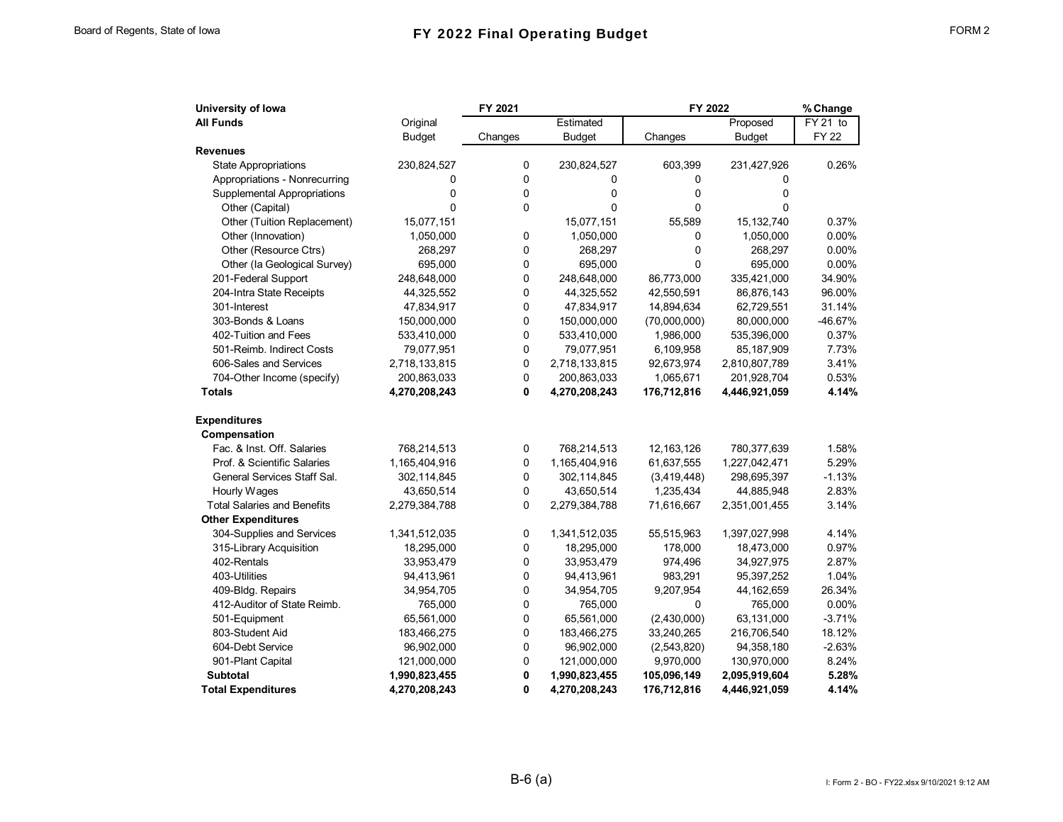| University of Iowa                 |               | FY 2021     |               | FY 2022      | % Change      |              |  |
|------------------------------------|---------------|-------------|---------------|--------------|---------------|--------------|--|
| <b>All Funds</b>                   | Original      |             | Estimated     |              | Proposed      | FY 21 to     |  |
|                                    | <b>Budget</b> | Changes     | <b>Budget</b> | Changes      | <b>Budget</b> | <b>FY 22</b> |  |
| <b>Revenues</b>                    |               |             |               |              |               |              |  |
| <b>State Appropriations</b>        | 230,824,527   | 0           | 230,824,527   | 603,399      | 231,427,926   | 0.26%        |  |
| Appropriations - Nonrecurring      | 0             | $\mathbf 0$ | 0             | 0            | 0             |              |  |
| Supplemental Appropriations        | 0             | 0           | 0             | 0            | 0             |              |  |
| Other (Capital)                    | $\mathbf 0$   | $\mathbf 0$ | 0             | 0            | 0             |              |  |
| Other (Tuition Replacement)        | 15,077,151    |             | 15,077,151    | 55,589       | 15,132,740    | 0.37%        |  |
| Other (Innovation)                 | 1,050,000     | 0           | 1,050,000     | 0            | 1,050,000     | 0.00%        |  |
| Other (Resource Ctrs)              | 268,297       | $\mathbf 0$ | 268,297       | 0            | 268,297       | 0.00%        |  |
| Other (la Geological Survey)       | 695,000       | 0           | 695,000       | 0            | 695,000       | 0.00%        |  |
| 201-Federal Support                | 248,648,000   | 0           | 248,648,000   | 86,773,000   | 335,421,000   | 34.90%       |  |
| 204-Intra State Receipts           | 44,325,552    | 0           | 44,325,552    | 42,550,591   | 86,876,143    | 96.00%       |  |
| 301-Interest                       | 47,834,917    | $\mathbf 0$ | 47,834,917    | 14,894,634   | 62,729,551    | 31.14%       |  |
| 303-Bonds & Loans                  | 150,000,000   | 0           | 150,000,000   | (70,000,000) | 80,000,000    | -46.67%      |  |
| 402-Tuition and Fees               | 533,410,000   | 0           | 533,410,000   | 1,986,000    | 535,396,000   | 0.37%        |  |
| 501-Reimb. Indirect Costs          | 79,077,951    | 0           | 79,077,951    | 6,109,958    | 85,187,909    | 7.73%        |  |
| 606-Sales and Services             | 2,718,133,815 | $\mathbf 0$ | 2,718,133,815 | 92,673,974   | 2,810,807,789 | 3.41%        |  |
| 704-Other Income (specify)         | 200,863,033   | $\mathbf 0$ | 200,863,033   | 1,065,671    | 201,928,704   | 0.53%        |  |
| <b>Totals</b>                      | 4,270,208,243 | 0           | 4,270,208,243 | 176,712,816  | 4,446,921,059 | 4.14%        |  |
| <b>Expenditures</b>                |               |             |               |              |               |              |  |
| Compensation                       |               |             |               |              |               |              |  |
| Fac. & Inst. Off. Salaries         | 768,214,513   | 0           | 768,214,513   | 12,163,126   | 780,377,639   | 1.58%        |  |
| Prof. & Scientific Salaries        | 1,165,404,916 | $\mathbf 0$ | 1,165,404,916 | 61,637,555   | 1,227,042,471 | 5.29%        |  |
| General Services Staff Sal.        | 302,114,845   | 0           | 302,114,845   | (3,419,448)  | 298,695,397   | $-1.13%$     |  |
| Hourly Wages                       | 43,650,514    | 0           | 43,650,514    | 1,235,434    | 44,885,948    | 2.83%        |  |
| <b>Total Salaries and Benefits</b> | 2,279,384,788 | $\Omega$    | 2,279,384,788 | 71,616,667   | 2,351,001,455 | 3.14%        |  |
| <b>Other Expenditures</b>          |               |             |               |              |               |              |  |
| 304-Supplies and Services          | 1,341,512,035 | 0           | 1,341,512,035 | 55,515,963   | 1,397,027,998 | 4.14%        |  |
| 315-Library Acquisition            | 18,295,000    | 0           | 18,295,000    | 178,000      | 18,473,000    | 0.97%        |  |
| 402-Rentals                        | 33,953,479    | 0           | 33,953,479    | 974,496      | 34,927,975    | 2.87%        |  |
| 403-Utilities                      | 94,413,961    | 0           | 94,413,961    | 983,291      | 95, 397, 252  | 1.04%        |  |
| 409-Bldg. Repairs                  | 34,954,705    | 0           | 34,954,705    | 9,207,954    | 44,162,659    | 26.34%       |  |
| 412-Auditor of State Reimb.        | 765,000       | $\mathbf 0$ | 765,000       | 0            | 765,000       | 0.00%        |  |
| 501-Equipment                      | 65,561,000    | 0           | 65,561,000    | (2,430,000)  | 63,131,000    | $-3.71%$     |  |
| 803-Student Aid                    | 183,466,275   | $\pmb{0}$   | 183,466,275   | 33,240,265   | 216,706,540   | 18.12%       |  |
| 604-Debt Service                   | 96,902,000    | 0           | 96,902,000    | (2,543,820)  | 94,358,180    | $-2.63%$     |  |
| 901-Plant Capital                  | 121,000,000   | 0           | 121,000,000   | 9,970,000    | 130,970,000   | 8.24%        |  |
| <b>Subtotal</b>                    | 1,990,823,455 | 0           | 1,990,823,455 | 105,096,149  | 2,095,919,604 | 5.28%        |  |
| <b>Total Expenditures</b>          | 4,270,208,243 | 0           | 4,270,208,243 | 176,712,816  | 4,446,921,059 | 4.14%        |  |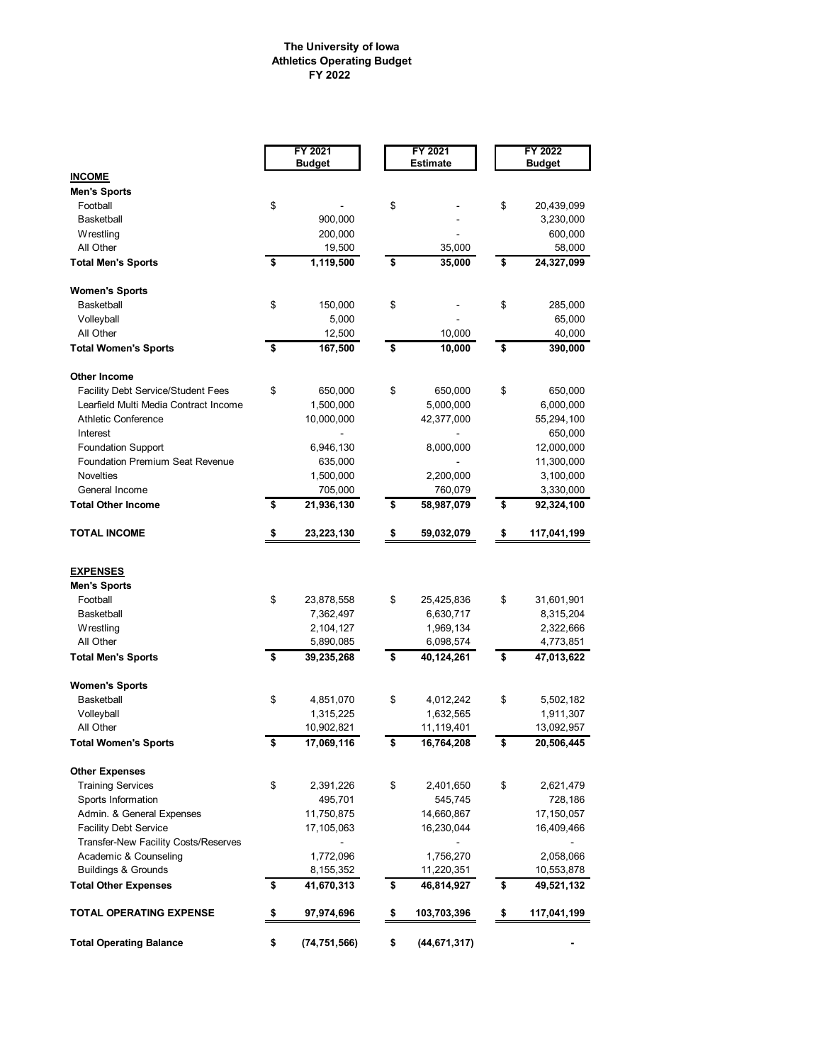## **The University of Iowa Athletics Operating Budget FY 2022**

|                                           |    | FY 2021<br><b>Budget</b> |    | FY 2021<br><b>Estimate</b> |    | FY 2022<br><b>Budget</b> |  |  |
|-------------------------------------------|----|--------------------------|----|----------------------------|----|--------------------------|--|--|
| <b>INCOME</b>                             |    |                          |    |                            |    |                          |  |  |
| <b>Men's Sports</b>                       |    |                          |    |                            |    |                          |  |  |
| Football                                  | \$ |                          | \$ |                            | \$ | 20,439,099               |  |  |
| Basketball                                |    | 900,000                  |    |                            |    | 3,230,000                |  |  |
| Wrestling                                 |    | 200,000                  |    |                            |    | 600,000                  |  |  |
| All Other                                 |    | 19,500                   |    | 35,000                     |    | 58,000                   |  |  |
| <b>Total Men's Sports</b>                 | \$ | 1,119,500                | \$ | 35,000                     | \$ | 24,327,099               |  |  |
| <b>Women's Sports</b>                     |    |                          |    |                            |    |                          |  |  |
| Basketball                                | \$ | 150,000                  | \$ |                            | \$ | 285,000                  |  |  |
| Volleyball                                |    | 5,000                    |    |                            |    | 65,000                   |  |  |
| All Other                                 |    | 12,500                   |    | 10,000                     |    | 40,000                   |  |  |
| <b>Total Women's Sports</b>               | \$ | 167,500                  | \$ | 10,000                     | \$ | 390,000                  |  |  |
| <b>Other Income</b>                       |    |                          |    |                            |    |                          |  |  |
| <b>Facility Debt Service/Student Fees</b> | \$ | 650,000                  | \$ | 650,000                    | \$ | 650,000                  |  |  |
| Learfield Multi Media Contract Income     |    | 1,500,000                |    | 5,000,000                  |    | 6,000,000                |  |  |
| <b>Athletic Conference</b>                |    | 10,000,000               |    | 42,377,000                 |    | 55,294,100               |  |  |
| Interest                                  |    |                          |    |                            |    | 650,000                  |  |  |
| <b>Foundation Support</b>                 |    | 6,946,130                |    | 8,000,000                  |    | 12,000,000               |  |  |
| <b>Foundation Premium Seat Revenue</b>    |    | 635,000                  |    |                            |    | 11,300,000               |  |  |
| Novelties                                 |    | 1,500,000                |    | 2,200,000                  |    | 3,100,000                |  |  |
| General Income                            |    | 705,000                  |    | 760,079                    |    | 3,330,000                |  |  |
| <b>Total Other Income</b>                 | \$ | 21,936,130               | \$ | 58,987,079                 | \$ | 92,324,100               |  |  |
| <b>TOTAL INCOME</b>                       | \$ | 23,223,130               | \$ | 59,032,079                 | \$ | 117,041,199              |  |  |
| <u>EXPENSES</u>                           |    |                          |    |                            |    |                          |  |  |
| <b>Men's Sports</b>                       |    |                          |    |                            |    |                          |  |  |
| Football                                  | \$ | 23,878,558               | \$ | 25,425,836                 | \$ | 31,601,901               |  |  |
| Basketball                                |    | 7,362,497                |    | 6,630,717                  |    | 8,315,204                |  |  |
| Wrestling                                 |    | 2,104,127                |    | 1,969,134                  |    | 2,322,666                |  |  |
| All Other                                 |    | 5,890,085                |    | 6,098,574                  |    | 4,773,851                |  |  |
| <b>Total Men's Sports</b>                 | \$ | 39,235,268               | \$ | 40,124,261                 | \$ | 47,013,622               |  |  |
| <b>Women's Sports</b>                     |    |                          |    |                            |    |                          |  |  |
| Basketball                                | \$ | 4,851,070                | \$ | 4,012,242                  | \$ | 5,502,182                |  |  |
| Volleyball                                |    | 1,315,225                |    | 1,632,565                  |    | 1,911,307                |  |  |
| All Other                                 |    | 10,902,821               |    | 11,119,401                 |    | 13,092,957               |  |  |
| <b>Total Women's Sports</b>               | ፍ  | 17,069,116               | \$ | 16,764,208                 | ¢  | 20,506,445               |  |  |
| <b>Other Expenses</b>                     |    |                          |    |                            |    |                          |  |  |
| <b>Training Services</b>                  | \$ | 2,391,226                | \$ | 2,401,650                  | \$ | 2,621,479                |  |  |
| Sports Information                        |    | 495,701                  |    | 545,745                    |    | 728,186                  |  |  |
| Admin. & General Expenses                 |    | 11,750,875               |    | 14,660,867                 |    | 17,150,057               |  |  |
| <b>Facility Debt Service</b>              |    | 17,105,063               |    | 16,230,044                 |    | 16,409,466               |  |  |
| Transfer-New Facility Costs/Reserves      |    | $\overline{\phantom{0}}$ |    |                            |    |                          |  |  |
| Academic & Counseling                     |    | 1,772,096                |    | 1,756,270                  |    | 2,058,066                |  |  |
| <b>Buildings &amp; Grounds</b>            |    | 8,155,352                |    | 11,220,351                 |    | 10,553,878               |  |  |
| <b>Total Other Expenses</b>               | \$ | 41,670,313               | \$ | 46,814,927                 | \$ | 49,521,132               |  |  |
| TOTAL OPERATING EXPENSE                   | \$ | 97,974,696               | \$ | 103,703,396                | \$ | 117,041,199              |  |  |
| <b>Total Operating Balance</b>            | \$ | (74,751,566)             | \$ | (44,671,317)               |    |                          |  |  |